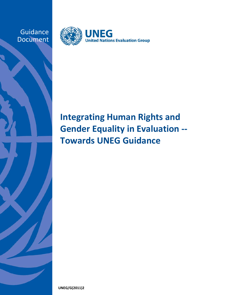**Guidance** Document



# **Integrating Human Rights and Gender Equality in Evaluation ‐‐ Towards UNEG Guidance**

**UNEG/G(2011)2**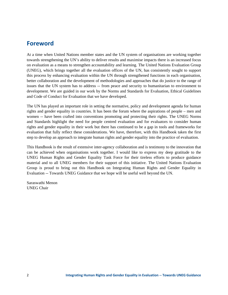### **Foreword**

At a time when United Nations member states and the UN system of organisations are working together towards strengthening the UN's ability to deliver results and maximise impacts there is an increased focus on evaluation as a means to strengthen accountability and learning. The United Nations Evaluation Group (UNEG), which brings together all the evaluation offices of the UN, has consistently sought to support this process by enhancing evaluation within the UN through strengthened functions in each organisation, better collaboration and the development of methodologies and approaches that do justice to the range of issues that the UN system has to address -- from peace and security to humanitarian to environment to development. We are guided in our work by the Norms and Standards for Evaluation, Ethical Guidelines and Code of Conduct for Evaluation that we have developed.

The UN has played an important role in setting the normative, policy and development agenda for human rights and gender equality in countries. It has been the forum where the aspirations of people – men and women -- have been crafted into conventions promoting and protecting their rights. The UNEG Norms and Standards highlight the need for people centred evaluation and for evaluators to consider human rights and gender equality in their work but there has continued to be a gap in tools and frameworks for evaluation that fully reflect these considerations. We have, therefore, with this Handbook taken the first step to develop an approach to integrate human rights and gender equality into the practice of evaluation.

This Handbook is the result of extensive inter-agency collaboration and is testimony to the innovation that can be achieved when organisations work together. I would like to express my deep gratitude to the UNEG Human Rights and Gender Equality Task Force for their tireless efforts to produce guidance material and to all UNEG members for their support of this initiative. The United Nations Evaluation Group is proud to bring out this Handbook on Integrating Human Rights and Gender Equality in Evaluation -- Towards UNEG Guidance that we hope will be useful well beyond the UN.

Saraswathi Menon UNEG Chair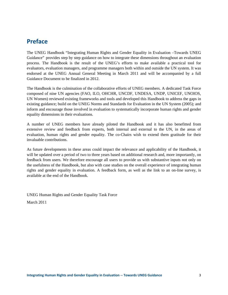### **Preface**

The UNEG Handbook "Integrating Human Rights and Gender Equality in Evaluation –Towards UNEG Guidance" provides step by step guidance on how to integrate these dimensions throughout an evaluation process. The Handbook is the result of the UNEG's efforts to make available a practical tool for evaluators, evaluation managers, and programme managers both within and outside the UN system. It was endorsed at the UNEG Annual General Meeting in March 2011 and will be accompanied by a full Guidance Document to be finalized in 2012.

The Handbook is the culmination of the collaborative efforts of UNEG members. A dedicated Task Force composed of nine UN agencies (FAO, ILO, OHCHR, UNCDF, UNDESA, UNDP, UNICEF, UNOIOS, UN Women) reviewed existing frameworks and tools and developed this Handbook to address the gaps in existing guidance; build on the UNEG Norms and Standards for Evaluation in the UN System (2005); and inform and encourage those involved in evaluation to systematically incorporate human rights and gender equality dimensions in their evaluations.

A number of UNEG members have already piloted the Handbook and it has also benefitted from extensive review and feedback from experts, both internal and external to the UN, in the areas of evaluation, human rights and gender equality. The co-Chairs wish to extend them gratitude for their invaluable contributions.

As future developments in these areas could impact the relevance and applicability of the Handbook, it will be updated over a period of two to three years based on additional research and, more importantly, on feedback from users. We therefore encourage all users to provide us with substantive inputs not only on the usefulness of the Handbook, but also with case studies on the overall experience of integrating human rights and gender equality in evaluation. A feedback form, as well as the link to an on-line survey, is available at the end of the Handbook.

UNEG Human Rights and Gender Equality Task Force March 2011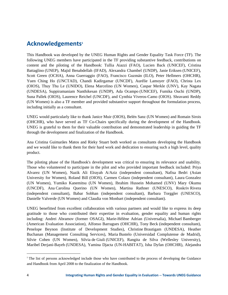### **Acknowledgements<sup>1</sup>**

This Handbook was developed by the UNEG Human Rights and Gender Equality Task Force (TF). The following UNEG members have participated in the TF providing substantive feedback, contributions on content and the piloting of the Handbook: Tullia Aiazzi (FAO), Lucien Back (UNICEF), Cristina Battaglino (UNEP), Majid Benabdellah (IFAD), Alexandra Chambel (UNDP), Janie Eriksen (UNICEF), Scott Green (OCHA), Anna Guerraggio (FAO), Francisco Guzmán (ILO), Peter Hellmers (OHCHR), Yuen Ching Ho (UNCTAD), Chandi Kadirgamar (UNCDF), Aurélie Lamoyer (FAO), Christa Lex (OIOS), Thuy Thu Le (UNIDO), Elena Marcelino (UN Women), Caspar Merkle (UNV), Kay Nagata (UNDESA), Suppiramaniam Nanthikesan (UNDP), Ada Ocampo (UNICEF), Fumika Ouchi (UNDP), Suna Pallek (OIOS), Laurence Reichel (UNCDF), and Cynthia Viveros-Camo (OIOS). Shravanti Reddy (UN Women) is also a TF member and provided substantive support throughout the formulation process, including initially as a consultant.

UNEG would particularly like to thank Janice Muir (OIOS), Belén Sanz (UN Women) and Romain Sirois (OHCHR), who have served as TF Co-Chairs specifically during the development of the Handbook. UNEG is grateful to them for their valuable contribution and demonstrated leadership in guiding the TF through the development and finalization of the Handbook.

Ana Cristina Guimarães Matos and Rieky Stuart both worked as consultants developing the Handbook and we would like to thank them for their hard work and dedication to ensuring such a high level, quality product.

The piloting phase of the Handbook's development was critical to ensuring its relevance and usability. Those who volunteered to participate in the pilot and who provided important feedback included: Priya Alvarez (UN Women), Nazik Ali Elrayah A/Aziz (independent consultant), Nafisa Bedri (Asian University for Women), Roland Bill (OIOS), Carmen Colazo (independent consultant), Laura Gonzalez (UN Women), Yumiko Kanemitsu (UN Women), Ibrahim Hussein Mohamed (UNV) Mary Okumu (UNCDF), Ana Carolina Querino (UN Women), Martina Rathner (UNESCO), Roskriv Rivera (independent consultant), Babar Sobhan (independent consultant), Barbara Torggler (UNESCO), Danielle Valverde (UN Women) and Claudia von Monbart (independent consultant).

UNEG benefitted from excellent collaboration with various partners and would like to express its deep gratitude to those who contributed their expertise in evaluation, gender equality and human rights including: Andrei Abramov (former OSAGI), Marie-Hélène Adrian (Universalia), Michael Bamberger (American Evaluation Association), Alfonso Barragues (OHCHR), Tony Beck (independent consultant), Penelope Beynon (Institute of Development Studies), Christine Brautigam (UNDESA), Heather Buchanan (Management Consulting Services), Maria Bustelo (Universidad Complutense de Madrid), Silvie Cohen (UN Women), Silvia de Giuli (UNICEF), Rangita de Silva (Wellesley University), Maribel Derjani-Bayeh (UNDESA), Yamina Djacta (UN-HABITAT), Isha Dyfan (OHCHR), Alejandra

<sup>1</sup> The list of persons acknowledged include those who have contributed to the process of developing the Guidance and Handbook from April 2008 to the finalization of the Handbook.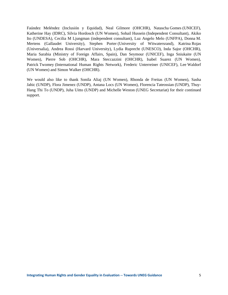Faúndez Meléndez (Inclusión y Equidad), Neal Gilmore (OHCHR), Natascha Gomes (UNICEF), Katherine Hay (IDRC), Silvia Hordosch (UN Women), Sohail Hussein (Independent Consultant), Akiko Ito (UNDESA), Cecilia M Ljungman (independent consultant), Luz Angelo Melo (UNFPA), Donna M. Mertens (Gallaudet University), Stephen Porter (University of Witwatersrand), Katrina Rojas (Universalia), Andrea Rossi (Harvard University), Lydia Ruprecht (UNESCO), Inda Sajor (OHCHR), Maria Sarabia (Ministry of Foreign Affairs, Spain), Dan Seymour (UNICEF), Inga Sniukaite (UN Women), Pierre Sob (OHCHR), Mara Steccazzini (OHCHR), Isabel Suarez (UN Women), Patrick Twomey (International Human Rights Network), Frederic Unterreiner (UNICEF), Lee Waldorf (UN Women) and Simon Walker (OHCHR).

We would also like to thank Sonila Aliaj (UN Women), Rhonda de Freitas (UN Women), Sasha Jahic (UNDP), Flora Jimenez (UNDP), Antana Locs (UN Women), Florencia Tateossian (UNDP), Thuy-Hang Thi To (UNDP), Juha Uitto (UNDP) and Michelle Weston (UNEG Secretariat) for their continued support.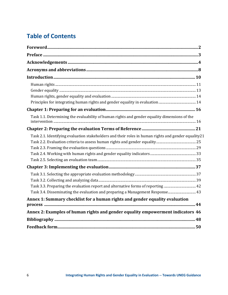### **Table of Contents**

| Task 1.1. Determining the evaluability of human rights and gender equality dimensions of the         |  |
|------------------------------------------------------------------------------------------------------|--|
|                                                                                                      |  |
| Task 2.1. Identifying evaluation stakeholders and their roles in human rights and gender equality 21 |  |
|                                                                                                      |  |
|                                                                                                      |  |
|                                                                                                      |  |
|                                                                                                      |  |
|                                                                                                      |  |
|                                                                                                      |  |
|                                                                                                      |  |
|                                                                                                      |  |
| Task 3.4. Disseminating the evaluation and preparing a Management Response 43                        |  |
| Annex 1: Summary checklist for a human rights and gender equality evaluation                         |  |
| Annex 2: Examples of human rights and gender equality empowerment indicators 46                      |  |
|                                                                                                      |  |
|                                                                                                      |  |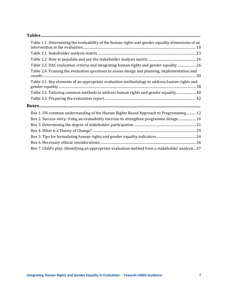| Table 1.1. Determining the evaluability of the human rights and gender equality dimensions of an |
|--------------------------------------------------------------------------------------------------|
|                                                                                                  |
|                                                                                                  |
| Table 2.3. DAC evaluation criteria and integrating human rights and gender equality 26           |
| Table 2.4. Framing the evaluation questions to assess design and planning, implementation and    |
| Table 3.1. Key elements of an appropriate evaluation methodology to address human rights and     |
| Table 3.2. Tailoring common methods to address human rights and gender equality  40              |
|                                                                                                  |
|                                                                                                  |
| Box 1. UN common understanding of the Human Rights Based Approach to Programming  12             |
| Box 2. Success story: Using an evaluability exercise to strengthen programme design 16           |
|                                                                                                  |
|                                                                                                  |
|                                                                                                  |
|                                                                                                  |
| Box 7. Child's play: Identifying an appropriate evaluation method from a stakeholder analysis 37 |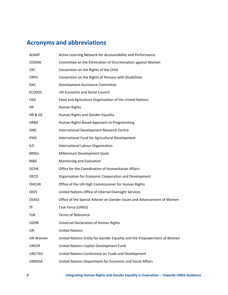## **Acronyms and abbreviations**

| ALNAP           | Active Learning Network for Accountability and Performance              |
|-----------------|-------------------------------------------------------------------------|
| CEDAW           | Committee on the Elimination of Discrimination against Women            |
| <b>CRC</b>      | Convention on the Rights of the Child                                   |
| <b>CRPD</b>     | Convention on the Rights of Persons with Disabilities                   |
| DAC             | Development Assistance Committee                                        |
| <b>ECOSOC</b>   | <b>UN Economic and Social Council</b>                                   |
| <b>FAO</b>      | Food and Agriculture Organization of the United Nations                 |
| ΗR              | Human Rights                                                            |
| HR & GE         | Human Rights and Gender Equality                                        |
| <b>HRBA</b>     | Human Rights Based Approach to Programming                              |
| <b>IDRC</b>     | International Development Research Centre                               |
| <b>IFAD</b>     | International Fund for Agricultural Development                         |
| ilo             | International Labour Organisation                                       |
| <b>MDGs</b>     | Millennium Development Goals                                            |
| M&E             | Monitoring and Evaluation                                               |
| OCHA            | Office for the Coordination of Humanitarian Affairs                     |
| OECD            | Organisation for Economic Cooperation and Development                   |
| <b>OHCHR</b>    | Office of the UN High Commissioner for Human Rights                     |
| <b>OIOS</b>     | United Nations Office of Internal Oversight Services                    |
| OSAGI           | Office of the Special Adviser on Gender Issues and Advancement of Women |
| ΤF              | Task Force (UNEG)                                                       |
| ToR             | <b>Terms of Reference</b>                                               |
| <b>UDHR</b>     | Universal Declaration of Human Rights                                   |
| UN              | <b>United Nations</b>                                                   |
| <b>UN Women</b> | United Nations Entity for Gender Equality and the Empowerment of Women  |
| <b>UNCDF</b>    | United Nations Capital Development Fund                                 |
| <b>UNCTAD</b>   | United Nations Conference on Trade and Development                      |
| <b>UNDESA</b>   | United Nations Department for Economic and Social Affairs               |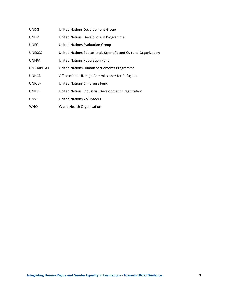| <b>UNDG</b>   | United Nations Development Group                                 |
|---------------|------------------------------------------------------------------|
| <b>UNDP</b>   | United Nations Development Programme                             |
| <b>UNEG</b>   | <b>United Nations Evaluation Group</b>                           |
| <b>UNESCO</b> | United Nations Educational, Scientific and Cultural Organization |
| <b>UNFPA</b>  | United Nations Population Fund                                   |
| UN-HABITAT    | United Nations Human Settlements Programme                       |
| <b>UNHCR</b>  | Office of the UN High Commissioner for Refugees                  |
| <b>UNICEF</b> | United Nations Children's Fund                                   |
| <b>UNIDO</b>  | United Nations Industrial Development Organization               |
| <b>UNV</b>    | <b>United Nations Volunteers</b>                                 |
| <b>WHO</b>    | World Health Organisation                                        |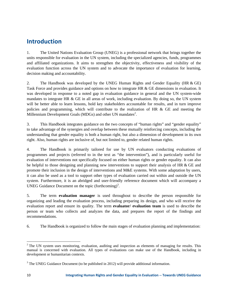### **Introduction**

1. The United Nations Evaluation Group (UNEG) is a professional network that brings together the units responsible for evaluation in the UN system, including the specialized agencies, funds, programmes and affiliated organizations. It aims to strengthen the objectivity, effectiveness and visibility of the evaluation function across the UN system and to advocate the importance of evaluation for learning, decision making and accountability.

2. The Handbook was developed by the UNEG Human Rights and Gender Equality (HR & GE) Task Force and provides guidance and options on how to integrate HR & GE dimensions in evaluation. It was developed in response to a noted gap in evaluation guidance in general and the UN system-wide mandates to integrate HR & GE in all areas of work, including evaluation. By doing so, the UN system will be better able to learn lessons, hold key stakeholders accountable for results, and in turn improve policies and programming, which will contribute to the realization of HR  $\&$  GE and meeting the Millennium Development Goals (MDGs) and other UN mandates $2$ .

3. This Handbook integrates guidance on the two concepts of "human rights" and "gender equality" to take advantage of the synergies and overlap between these mutually reinforcing concepts, including the understanding that gender equality is both a human right, but also a dimension of development in its own right. Also, human rights are inclusive of, but not limited to, gender related human rights.

4. The Handbook is primarily tailored for use by UN evaluators conducting evaluations of programmes and projects (referred to in the text as "the intervention"), and is particularly useful for evaluation of interventions not specifically focused on either human rights or gender equality. It can also be helpful to those designing and planning new interventions to support their analysis of HR & GE and promote their inclusion in the design of interventions and M&E systems. With some adaptation by users, it can also be used as a tool to support other types of evaluation carried out within and outside the UN system. Furthermore, it is an abridged and user-friendly reference document which will accompany a UNEG Guidance Document on the topic (forthcoming)<sup>3</sup>.

5. The term **evaluation manager** is used throughout to describe the person responsible for organizing and leading the evaluation process, including preparing its design, and who will receive the evaluation report and ensure its quality. The term **evaluator/ evaluation team** is used to describe the person or team who collects and analyzes the data, and prepares the report of the findings and recommendations.

6. The Handbook is organized to follow the main stages of evaluation planning and implementation:

  $2^2$  The UN system uses monitoring, evaluation, auditing and inspection as elements of managing for results. This manual is concerned with evaluation. All types of evaluations can make use of the Handbook, including in development or humanitarian contexts.

 $3$  The UNEG Guidance Document (to be published in 2012) will provide additional information.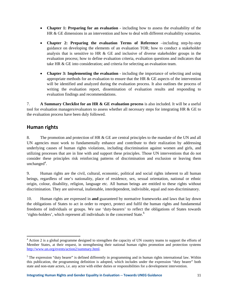- **Chapter 1: Preparing for an evaluation** including how to assess the evaluability of the HR & GE dimensions in an intervention and how to deal with different evaluability scenarios.
- **Chapter 2: Preparing the evaluation Terms of Reference** –including step-by-step guidance on developing the elements of an evaluation TOR; how to conduct a stakeholder analysis that is sensitive to HR & GE and inclusive of diverse stakeholder groups in the evaluation process; how to define evaluation criteria, evaluation questions and indicators that take HR & GE into consideration; and criteria for selecting an evaluation team.
- **Chapter 3: Implementing the evaluation** including the importance of selecting and using appropriate methods for an evaluation to ensure that the HR  $\&$  GE aspects of the intervention will be identified and analyzed during the evaluation process. It also outlines the process of writing the evaluation report, dissemination of evaluation results and responding to evaluation findings and recommendations.

7. **A Summary Checklist for an HR & GE evaluation process** is also included. It will be a useful tool for evaluation managers/evaluators to assess whether all necessary steps for integrating HR & GE to the evaluation process have been duly followed.

#### **Human rights**

8. The promotion and protection of HR & GE are central principles to the mandate of the UN and all UN agencies must work to fundamentally enhance and contribute to their realization by addressing underlying causes of human rights violations, including discrimination against women and girls, and utilizing processes that are in line with and support these principles. Those UN interventions that do not consider these principles risk reinforcing patterns of discrimination and exclusion or leaving them  $unchanged<sup>4</sup>$ .

9. Human rights are the civil, cultural, economic, political and social rights inherent to all human beings, regardless of one's nationality, place of residence, sex, sexual orientation, national or ethnic origin, colour, disability, religion, language etc. All human beings are entitled to these rights without discrimination. They are universal, inalienable, interdependent, indivisible, equal and non-discriminatory.

10. Human rights are expressed in **and** guaranteed by normative frameworks and laws that lay down the obligations of States to act in order to respect, protect and fulfil the human rights and fundamental freedoms of individuals or groups. We use 'duty-bearers' to reflect the obligations of States towards 'rights-holders', which represent all individuals in the concerned State.<sup>5</sup>

<sup>&</sup>lt;sup>4</sup> Action 2 is a global programme designed to strengthen the capacity of UN country teams to support the efforts of Member States, at their request, in strengthening their national human rights promotion and protection systems http://www.un.org/events/action2/summary.html.

<sup>&</sup>lt;sup>5</sup> The expression "duty bearer" is defined differently in programming and in human rights international law. Within this publication, the programming definition is adopted, which includes under the expression "duty bearer" both state and non-state actors, i.e. any actor with either duties or responsibilities for a development intervention.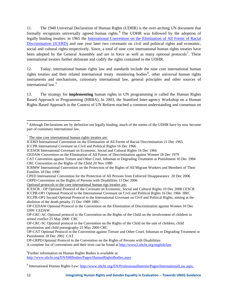11. The 1948 Universal Declaration of Human Rights (UDHR) is the over-arching UN document that formally recognizes universally agreed human rights. <sup>6</sup> The UDHR was followed by the adoption of legally binding treaties: in 1965 the International Convention on the Elimination of All Forms of Racial Discrimination (ICERD) and one year later two covenants on civil and political rights and economic, social and cultural rights respectively. Since, a total of nine core international human rights treaties have been adopted by the General Assembly and are in force as well as many optional protocols<sup>7</sup>. These international treaties further delineate and codify the rights contained in the UDHR.

12. Today, international human rights law and standards include the nine core international human rights treaties and their related international treaty monitoring bodies<sup>8</sup>, other universal human rights instruments and mechanisms, customary international law, general principles and other sources of international law.<sup>9</sup>

13. The strategy for **implementing** human rights in UN programming is called the Human Rights Based Approach to Programming (HRBA). In 2003, the Stamford Inter-agency Workshop on a Human Rights Based Approach in the Context of UN Reform reached a common understanding and consensus on

Optional protocols to the core international human rigs treaties are:

OP-CRPD Optional Protocol to the Convention on the Rights of Persons with Disabilities

A complete list of conventions and their texts can be found at http://www2.ohchr.org/english/law

<sup>8</sup> Further information on Human Rights Bodies is available at: http://www.ohchr.org/EN/HRBodies/Pages/HumanRightsBodies.aspx

 <sup>6</sup> Although Declarations are by definition not legally binding, much of the norms of the UDHR have by now become part of customary international law.

 $7$  The nine core international human rights treaties are:

ICERD International Convention on the Elimination of All Forms of Racial Discrimination 21 Dec 1965

ICCPR International Covenant on Civil and Political Rights 16 Dec 1966

ICESCR International Covenant on Economic, Social and Cultural Rights 16 Dec 1966

CEDAW Convention on the Elimination of All Forms of Discrimination against Women 18 Dec 1979

CAT Convention against Torture and Other Cruel, Inhuman or Degrading Treatment or Punishment 10 Dec 1984 CRC Convention on the Rights of the Child 20 Nov 1989

ICRMW International Convention on the Protection of the Rights of All Migrant Workers and Members of Their Families 18 Dec 1990

CPED International Convention for the Protection of All Persons from Enforced Disappearance 20 Dec 2006 CRPD Convention on the Rights of Persons with Disabilities 13 Dec 2006

ICESCR - OP Optional Protocol of the Covenant on Economic, Social and Cultural Rights 10 Dec 2008 CESCR ICCPR-OP1 Optional Protocol to the International Covenant on Civil and Political Rights 16 Dec 1966 HRC ICCPR-OP2 Second Optional Protocol to the International Covenant on Civil and Political Rights, aiming at the abolition of the death penalty 15 Dec 1989 HRC

OP-CEDAW Optional Protocol to the Convention on the Elimination of Discrimination against Women 10 Dec 1999 CEDAW

OP-CRC-AC Optional protocol to the Convention on the Rights of the Child on the involvement of children in armed conflict 25 May 2000 CRC

OP-CRC-SC Optional protocol to the Convention on the Rights of the Child on the sale of children, child prostitution and child pornography 25 May 2000 CRC

OP-CAT Optional Protocol to the Convention against Torture and Other Cruel, Inhuman or Degrading Treatment or Punishment 18 Dec 2002 CAT

<sup>&</sup>lt;sup>9</sup> International Human Rights Law: http://www.ohchr.org/EN/ProfessionalInterest/Pages/InternationalLaw.aspx.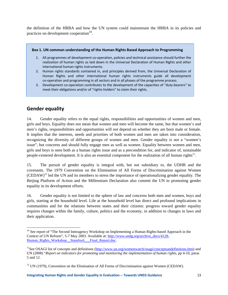the definition of the HRBA and how the UN system could mainstream the HRBA in its policies and practices on development cooperation<sup>10</sup>.

#### **Box 1. UN common understanding of the Human Rights Based Approach to Programming**

- 1. All programmes of development co-operation, policies and technical assistance should further the realization of human rights as laid down in the Universal Declaration of Human Rights and other international human rights instruments.
- 2. Human rights standards contained in, and principles derived from, the Universal Declaration of Human Rights and other international human rights instruments guide all development co-operation and programming in all sectors and in all phases of the programme process.
- 3. Development co-operation contributes to the development of the capacities of "duty-bearers" to meet their obligations and/or of "rights-holders" to claim their rights.

### **Gender equality**

14. Gender equality refers to the equal rights, responsibilities and opportunities of women and men, girls and boys. Equality does not mean that women and men will become the same, but that women's and men's rights, responsibilities and opportunities will not depend on whether they are born male or female. It implies that the interests, needs and priorities of both women and men are taken into consideration, recognizing the diversity of different groups of women and men. Gender equality is not a "women's issue", but concerns and should fully engage men as well as women. Equality between women and men, girls and boys is seen both as a human rights issue and as a precondition for, and indicator of, sustainable people-centered development. It is also an essential component for the realization of all human rights<sup>11</sup>.

15. The pursuit of gender equality is integral with, but not subsidiary to, the UDHR and the covenants. The 1979 Convention on the Elimination of All Forms of Discrimination against Women  $(CEDAW)^{12}$  led the UN and its members to stress the importance of operationalizing gender equality. The Beijing Platform of Action and the Millennium Declaration also commit the UN to promoting gender equality in its development efforts.

16. Gender equality is not limited to the sphere of law and concerns both men and women, boys and girls, starting at the household level. Life at the household level has direct and profound implications in communities and for the relations between states and their citizens: progress toward gender equality requires changes within the family, culture, politics and the economy, in addition to changes in laws and their application.

 <sup>10</sup> See report of "The Second Interagency Workshop on Implementing a Human Rights-based Approach in the Context of UN Reform", 5-7 May 2003. Available at: http://www.undg.org/archive\_docs/4128- Human Rights Workshop Stamford Final Report.doc.

<sup>&</sup>lt;sup>11</sup>See OSAGI list of concepts and definitions (http://www.un.org/womenwatch/osagi/conceptsandefinitions.htm) and UN (2008) "*Report on indicators for promoting and monitoring the implementation of human rights*, pp 4-10, paras 5 and 12.

 $12$  UN (1979), Convention on the Elimination of All Forms of Discrimination against Women (CEDAW).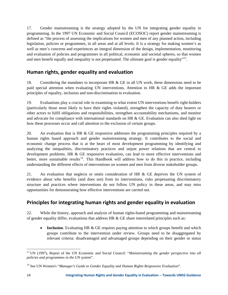17. Gender mainstreaming is the strategy adopted by the UN for integrating gender equality in programming. In the 1997 UN Economic and Social Council (ECOSOC) report gender mainstreaming is defined as "the process of assessing the implications for women and men of any planned action, including legislation, policies or programmes, in all areas and at all levels. It is a strategy for making women's as well as men's concerns and experiences an integral dimension of the design, implementation, monitoring and evaluation of policies and programmes in all political, economic and societal spheres, so that women and men benefit equally and inequality is not perpetuated. The ultimate goal is gender equality"<sup>13</sup>.

### **Human rights, gender equality and evaluation**

18. Considering the mandates to incorporate HR & GE in all UN work, these dimensions need to be paid special attention when evaluating UN interventions. Attention to HR & GE adds the important principles of equality, inclusion and non-discrimination to evaluation.

19. Evaluations play a crucial role in examining to what extent UN interventions benefit right-holders (particularly those most likely to have their rights violated), strengthen the capacity of duty bearers or other actors to fulfil obligations and responsibilities, strengthen accountability mechanisms, and monitor and advocate for compliance with international standards on HR & GE. Evaluation can also shed light on how these processes occur and call attention to the exclusion of certain groups.

20. An evaluation that is HR & GE responsive addresses the programming principles required by a human rights based approach and gender mainstreaming strategy. It contributes to the social and economic change process that is at the heart of most development programming by identifying and analyzing the inequalities, discriminatory practices and unjust power relations that are central to development problems. HR & GE responsive evaluation, can lead to more effective interventions and better, more sustainable results<sup>14</sup>. This Handbook will address how to do this in practice, including understanding the different effects of interventions on women and men from diverse stakeholder groups.

21. An evaluation that neglects or omits consideration of HR & GE deprives the UN system of evidence about who benefits (and does not) from its interventions, risks perpetuating discriminatory structure and practices where interventions do not follow UN policy in these areas, and may miss opportunities for demonstrating how effective interventions are carried out.

### **Principles for integrating human rights and gender equality in evaluation**

22. While the history, approach and analysis of human rights-based programming and mainstreaming of gender equality differ, evaluations that address HR  $&$  GE share interrelated principles such as:

• **Inclusion**. Evaluating HR & GE requires paying attention to which groups benefit and which groups contribute to the intervention under review. Groups need to be disaggregated by relevant criteria: disadvantaged and advantaged groups depending on their gender or status

<sup>&</sup>lt;sup>13</sup> UN (1997), Report of the UN Economic and Social Council: "Mainstreaming the gender perspective into all *policies and programmes in the UN system*".

<sup>14</sup> See UN Women's "*Manager's Guide to Gender Equality and Human Rights Responsive Evaluation*".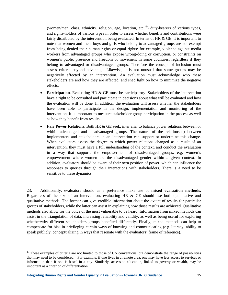(women/men, class, ethnicity, religion, age, location, etc.<sup>15</sup>) duty-bearers of various types, and rights-holders of various types in order to assess whether benefits and contributions were fairly distributed by the intervention being evaluated. In terms of HR  $\&$  GE, it is important to note that women and men, boys and girls who belong to advantaged groups are not exempt from being denied their human rights or equal rights: for example, violence against media workers from advantaged groups who expose wrong-doing or corruption, or constraints on women's public presence and freedom of movement in some countries, regardless if they belong to advantaged or disadvantaged groups. Therefore the concept of inclusion must assess criteria beyond advantage. Likewise, it is not unusual that some groups may be negatively affected by an intervention. An evaluation must acknowledge who these stakeholders are and how they are affected, and shed light on how to minimize the negative effects.

- **Participation.** Evaluating HR & GE must be participatory. Stakeholders of the intervention have a right to be consulted and participate in decisions about what will be evaluated and how the evaluation will be done. In addition, the evaluation will assess whether the stakeholders have been able to participate in the design, implementation and monitoring of the intervention. It is important to measure stakeholder group participation in the process as well as how they benefit from results.
- **Fair Power Relations**. Both HR & GE seek, inter alia, to balance power relations between or within advantaged and disadvantaged groups. The nature of the relationship between implementers and stakeholders in an intervention can support or undermine this change. When evaluators assess the degree to which power relations changed as a result of an intervention, they must have a full understanding of the context, and conduct the evaluation in a way that supports the empowerment of disadvantaged groups, e.g. women's empowerment where women are the disadvantaged gender within a given context. In addition, evaluators should be aware of their own position of power, which can influence the responses to queries through their interactions with stakeholders. There is a need to be sensitive to these dynamics.

23. Additionally, evaluators should as a preference make use of **mixed evaluation methods**. Regardless of the size of an intervention, evaluating HR & GE should use both quantitative and qualitative methods. The former can give credible information about the extent of results for particular groups of stakeholders, while the latter can assist in explaining how those results are achieved. Qualitative methods also allow for the voice of the most vulnerable to be heard. Information from mixed methods can assist in the triangulation of data, increasing reliability and validity, as well as being useful for exploring whether/why different stakeholders groups benefited differently. Finally, mixed methods can help to compensate for bias in privileging certain ways of knowing and communicating (e.g. literacy, ability to speak publicly, conceptualizing in ways that resonate with the evaluators' frame of reference).

<sup>&</sup>lt;sup>15</sup> These examples of criteria are not limited to those of UN conventions, but demonstrate the range of possibilities that may need to be considered. . For example, if one lives in a remote area, one may have less access to services or information than if one is based in a city. Similarly, access to education, linked to poverty or wealth, may be important as a criterion of differentiation.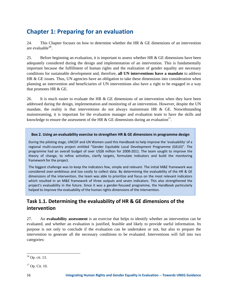### **Chapter 1: Preparing for an evaluation**

24. This Chapter focuses on how to determine whether the HR & GE dimensions of an intervention are evaluable<sup>16</sup>.

25. Before beginning an evaluation, it is important to assess whether HR & GE dimensions have been adequately considered during the design and implementation of an intervention. This is fundamentally important because the fulfillment of human rights and the realization of gender equality are necessary conditions for sustainable development and, therefore, **all UN interventions have a mandate** to address HR & GE issues. Thus, UN agencies have an obligation to take these dimensions into consideration when planning an intervention and beneficiaries of UN interventions also have a right to be engaged in a way that promotes HR & GE.

26. It is much easier to evaluate the HR  $\&$  GE dimensions of an intervention when they have been addressed during the design, implementation and monitoring of an intervention. However, despite the UN mandate, the reality is that interventions do not always mainstream HR  $\&$  GE. Notwithstanding mainstreaming, it is important for the evaluation manager and evaluation team to have the skills and knowledge to ensure the assessment of the HR & GE dimensions during an evaluation<sup>17</sup>.

#### **Box 2. Using an evaluability exercise to strengthen HR & GE dimensions in programme design**

During the piloting stage, UNCDF and UN Women used this Handbook to help improve the 'evaluability' of a regional multi‐country project entitled "Gender Equitable Local Development Programme (GELD)". The programme had an overall budget of over US\$8 million for 2008‐2011. The team sought to improve the theory of change, to refine activities, clarify targets, formulate indicators and build the monitoring framework for the project.

The biggest challenge was to keep the indicators few, simple and relevant. The initial M&E framework was considered over‐ambitious and too costly to collect data. By determining the evaluability of the HR & GE dimensions of the intervention, the team was able to prioritize and focus on the most relevant indicators which resulted in an M&E framework of three outputs and seven indicators. This also strengthened the project's evaluability in the future. Since it was a gender-focused programme, the Handbook particularly helped to improve the evaluability of the human rights dimensions of the intervention.

### **Task 1.1. Determining the evaluability of HR & GE dimensions of the intervention**

27. An **evaluability assessment** is an exercise that helps to identify whether an intervention can be evaluated, and whether an evaluation is justified, feasible and likely to provide useful information. Its purpose is not only to conclude if the evaluation can be undertaken or not, but also to prepare the intervention to generate all the necessary conditions to be evaluated. Interventions will fall into two categories:

 16 Op. cit. 13.

 $17$  Op. Cit. 10.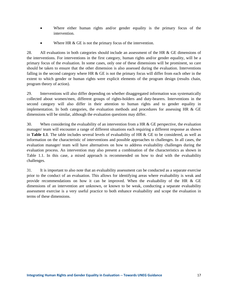- Where either human rights and/or gender equality is the primary focus of the intervention.
- Where HR & GE is not the primary focus of the intervention.

28. All evaluations in both categories should include an assessment of the HR & GE dimensions of the interventions. For interventions in the first category, human rights and/or gender equality, will be a primary focus of the evaluation. In some cases, only one of these dimensions will be prominent, so care should be taken to ensure that the other dimension is also assessed during the evaluation. Interventions falling in the second category where HR  $\&$  GE is not the primary focus will differ from each other in the extent to which gender or human rights were explicit elements of the program design (results chain, program theory of action).

29. Interventions will also differ depending on whether disaggregated information was systematically collected about women/men, different groups of rights-holders and duty-bearers. Interventions in the second category will also differ in their attention to human rights and to gender equality in implementation. In both categories, the evaluation methods and procedures for assessing HR  $\&$  GE dimensions will be similar, although the evaluation questions may differ.

30. When considering the evaluability of an intervention from a HR  $\&$  GE perspective, the evaluation manager/ team will encounter a range of different situations each requiring a different response as shown in **Table 1.1**. The table includes several levels of evaluability of HR & GE to be considered, as well as information on the characteristic of interventions and possible approaches to challenges. In all cases, the evaluation manager/ team will have alternatives on how to address evaluability challenges during the evaluation process. An intervention may also present a combination of the characteristics as shown in Table 1.1. In this case, a mixed approach is recommended on how to deal with the evaluability challenges.

31. It is important to also note that an evaluability assessment can be conducted as a separate exercise prior to the conduct of an evaluation. This allows for identifying areas where evaluability is weak and provide recommendations on how it can be improved. When the evaluability of the HR & GE dimensions of an intervention are unknown, or known to be weak, conducting a separate evaluability assessment exercise is a very useful practice to both enhance evaluability and scope the evaluation in terms of these dimensions.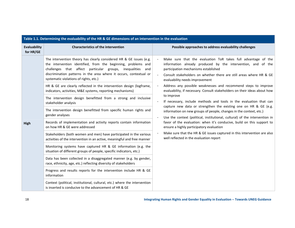| Table 1.1. Determining the evaluability of the HR & GE dimensions of an intervention in the evaluation |                                                                                                                                                                                                                                                                                                                                                                                                                                                                                                                                                                                                                                                                                                                                                                                                                                                                                                                                                                                                                                               |                                                                                                                                                                                                                                                                                                                                                                                                                                                                                                                                                                                                                                                                                                                                                                                                                                                                                                                                                                                                                                       |
|--------------------------------------------------------------------------------------------------------|-----------------------------------------------------------------------------------------------------------------------------------------------------------------------------------------------------------------------------------------------------------------------------------------------------------------------------------------------------------------------------------------------------------------------------------------------------------------------------------------------------------------------------------------------------------------------------------------------------------------------------------------------------------------------------------------------------------------------------------------------------------------------------------------------------------------------------------------------------------------------------------------------------------------------------------------------------------------------------------------------------------------------------------------------|---------------------------------------------------------------------------------------------------------------------------------------------------------------------------------------------------------------------------------------------------------------------------------------------------------------------------------------------------------------------------------------------------------------------------------------------------------------------------------------------------------------------------------------------------------------------------------------------------------------------------------------------------------------------------------------------------------------------------------------------------------------------------------------------------------------------------------------------------------------------------------------------------------------------------------------------------------------------------------------------------------------------------------------|
| Evaluability<br>for HR/GE                                                                              | <b>Characteristics of the intervention</b>                                                                                                                                                                                                                                                                                                                                                                                                                                                                                                                                                                                                                                                                                                                                                                                                                                                                                                                                                                                                    | Possible approaches to address evaluability challenges                                                                                                                                                                                                                                                                                                                                                                                                                                                                                                                                                                                                                                                                                                                                                                                                                                                                                                                                                                                |
| High                                                                                                   | The intervention theory has clearly considered HR & GE issues (e.g.<br>the intervention identified, from the beginning, problems and<br>challenges that affect particular groups, inequalities<br>and<br>discrimination patterns in the area where it occurs, contextual or<br>systematic violations of rights, etc.)<br>HR & GE are clearly reflected in the intervention design (logframe,<br>indicators, activities, M&E systems, reporting mechanisms)<br>The intervention design benefitted from a strong and inclusive<br>stakeholder analysis<br>The intervention design benefitted from specific human rights and<br>gender analyses<br>Records of implementation and activity reports contain information<br>on how HR & GE were addressed<br>Stakeholders (both women and men) have participated in the various<br>activities of the intervention in an active, meaningful and free manner<br>Monitoring systems have captured HR & GE information (e.g. the<br>situation of different groups of people, specific indicators, etc.) | Make sure that the evaluation ToR takes full advantage of the<br>$\blacksquare$<br>information already produced by the intervention, and of the<br>participation mechanisms established<br>Consult stakeholders on whether there are still areas where HR & GE<br>$\sim$<br>evaluability needs improvement<br>Address any possible weaknesses and recommend steps to improve<br>evaluability, if necessary. Consult stakeholders on their ideas about how<br>to improve<br>If necessary, include methods and tools in the evaluation that can<br>capture new data or strengthen the existing one on HR & GE (e.g.<br>information on new groups of people, changes in the context, etc.)<br>Use the context (political, institutional, cultural) of the intervention in<br>$\blacksquare$<br>favor of the evaluation: when it's conducive, build on this support to<br>ensure a highly participatory evaluation<br>Make sure that the HR & GE issues captured in this intervention are also<br>well reflected in the evaluation report |
|                                                                                                        | Data has been collected in a disaggregated manner (e.g. by gender,<br>race, ethnicity, age, etc.) reflecting diversity of stakeholders                                                                                                                                                                                                                                                                                                                                                                                                                                                                                                                                                                                                                                                                                                                                                                                                                                                                                                        |                                                                                                                                                                                                                                                                                                                                                                                                                                                                                                                                                                                                                                                                                                                                                                                                                                                                                                                                                                                                                                       |
|                                                                                                        | Progress and results reports for the intervention include HR & GE<br>information                                                                                                                                                                                                                                                                                                                                                                                                                                                                                                                                                                                                                                                                                                                                                                                                                                                                                                                                                              |                                                                                                                                                                                                                                                                                                                                                                                                                                                                                                                                                                                                                                                                                                                                                                                                                                                                                                                                                                                                                                       |
|                                                                                                        | Context (political, institutional, cultural, etc.) where the intervention<br>is inserted is conducive to the advancement of HR & GE                                                                                                                                                                                                                                                                                                                                                                                                                                                                                                                                                                                                                                                                                                                                                                                                                                                                                                           |                                                                                                                                                                                                                                                                                                                                                                                                                                                                                                                                                                                                                                                                                                                                                                                                                                                                                                                                                                                                                                       |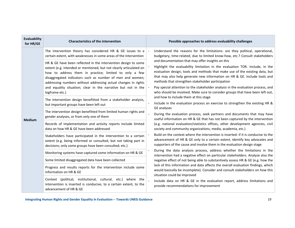| Evaluability<br>for HR/GE | <b>Characteristics of the intervention</b>                                                                                                                                                                                                                                                                                                                                                                                                                                                                                                                                                                                                                                                                                                                                                                                                                                                                                                                                                                                                                                                                                                                       | Possible approaches to address evaluability challenges                                                                                                                                                                                                                                                                                                                                                                                                                                                                                                                                                                                                                                                                                                                                                                                                                                                                                                                                                                                                                                                                                                                                                                                                                                                                                                                                                                                                                                                                                                                |
|---------------------------|------------------------------------------------------------------------------------------------------------------------------------------------------------------------------------------------------------------------------------------------------------------------------------------------------------------------------------------------------------------------------------------------------------------------------------------------------------------------------------------------------------------------------------------------------------------------------------------------------------------------------------------------------------------------------------------------------------------------------------------------------------------------------------------------------------------------------------------------------------------------------------------------------------------------------------------------------------------------------------------------------------------------------------------------------------------------------------------------------------------------------------------------------------------|-----------------------------------------------------------------------------------------------------------------------------------------------------------------------------------------------------------------------------------------------------------------------------------------------------------------------------------------------------------------------------------------------------------------------------------------------------------------------------------------------------------------------------------------------------------------------------------------------------------------------------------------------------------------------------------------------------------------------------------------------------------------------------------------------------------------------------------------------------------------------------------------------------------------------------------------------------------------------------------------------------------------------------------------------------------------------------------------------------------------------------------------------------------------------------------------------------------------------------------------------------------------------------------------------------------------------------------------------------------------------------------------------------------------------------------------------------------------------------------------------------------------------------------------------------------------------|
| <b>Medium</b>             | The intervention theory has considered HR & GE issues to a<br>certain extent, with weaknesses in some areas of the intervention<br>HR & GE have been reflected in the intervention design to some<br>extent (e.g. intended or mentioned, but not clearly articulated on<br>how to address them in practice; limited to only a few<br>disaggregated indicators such as number of men and women;<br>addressing numbers without addressing actual changes in rights<br>and equality situation; clear in the narrative but not in the<br>logframe etc.)<br>The intervention design benefitted from a stakeholder analysis,<br>but important groups have been left out<br>The intervention design benefitted from limited human rights and<br>gender analyses, or from only one of them<br>Records of implementation and activity reports include limited<br>data on how HR & GE have been addressed<br>Stakeholders have participated in the intervention to a certain<br>extent (e.g. being informed or consulted, but not taking part in<br>decisions; only some groups have been consulted; etc.)<br>Monitoring systems have captured some information on HR & GE | Understand the reasons for the limitations: are they political, operational,<br>budgetary, time-related, due to limited know-how, etc.? Consult stakeholders<br>and documentation that may offer insights on this<br>Highlight the evaluability limitation in the evaluation TOR. Include, in the<br>evaluation design, tools and methods that make use of the existing data, but<br>that may also help generate new information on HR & GE. Include tools and<br>methods that strengthen stakeholder participation<br>Pay special attention to the stakeholder analysis in the evaluation process, and<br>who should be involved. Make sure to consider groups that have been left out,<br>and how to include them at this stage<br>Include in the evaluation process an exercise to strengthen the existing HR &<br><b>GE</b> analyses<br>During the evaluation process, seek partners and documents that may have<br>useful information on HR & GE that has not been captured by the intervention<br>(e.g. national evaluation/statistics offices, other development agencies, civil<br>society and community organizations, media, academia, etc.)<br>Build on the context where the intervention is inserted: if it is conducive to the<br>advancement of HR & GE only to a certain extent, identify key advocates and<br>supporters of the cause and involve them in the evaluation design stage<br>During the data analysis process, address whether the limitations in the<br>intervention had a negative effect on particular stakeholders. Analyze also the |
|                           |                                                                                                                                                                                                                                                                                                                                                                                                                                                                                                                                                                                                                                                                                                                                                                                                                                                                                                                                                                                                                                                                                                                                                                  |                                                                                                                                                                                                                                                                                                                                                                                                                                                                                                                                                                                                                                                                                                                                                                                                                                                                                                                                                                                                                                                                                                                                                                                                                                                                                                                                                                                                                                                                                                                                                                       |
|                           |                                                                                                                                                                                                                                                                                                                                                                                                                                                                                                                                                                                                                                                                                                                                                                                                                                                                                                                                                                                                                                                                                                                                                                  |                                                                                                                                                                                                                                                                                                                                                                                                                                                                                                                                                                                                                                                                                                                                                                                                                                                                                                                                                                                                                                                                                                                                                                                                                                                                                                                                                                                                                                                                                                                                                                       |
|                           | Some limited disaggregated data have been collected<br>Progress and results reports for the intervention include some<br>information on HR & GE                                                                                                                                                                                                                                                                                                                                                                                                                                                                                                                                                                                                                                                                                                                                                                                                                                                                                                                                                                                                                  | negative effect of not being able to substantively assess HR & GE (e.g. how the<br>lack of this information and data affects the overall evaluation findings, which<br>would basically be incomplete). Consider and consult stakeholders on how this<br>situation could be improved                                                                                                                                                                                                                                                                                                                                                                                                                                                                                                                                                                                                                                                                                                                                                                                                                                                                                                                                                                                                                                                                                                                                                                                                                                                                                   |
|                           | Context (political, institutional, cultural, etc.) where the<br>intervention is inserted is conducive, to a certain extent, to the<br>advancement of HR & GE                                                                                                                                                                                                                                                                                                                                                                                                                                                                                                                                                                                                                                                                                                                                                                                                                                                                                                                                                                                                     | Include data on HR & GE in the evaluation report, address limitations and<br>provide recommendations for improvement                                                                                                                                                                                                                                                                                                                                                                                                                                                                                                                                                                                                                                                                                                                                                                                                                                                                                                                                                                                                                                                                                                                                                                                                                                                                                                                                                                                                                                                  |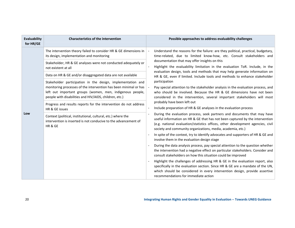| Evaluability<br>for HR/GE | <b>Characteristics of the intervention</b>                                                                                                                                                                                                             | Possible approaches to address evaluability challenges                                                                                                                                                                                                                                                     |  |  |
|---------------------------|--------------------------------------------------------------------------------------------------------------------------------------------------------------------------------------------------------------------------------------------------------|------------------------------------------------------------------------------------------------------------------------------------------------------------------------------------------------------------------------------------------------------------------------------------------------------------|--|--|
|                           | The intervention theory failed to consider HR & GE dimensions in<br>its design, implementation and monitoring                                                                                                                                          | Understand the reasons for the failure: are they political, practical, budgetary,<br>time-related, due to limited know-how, etc. Consult stakeholders and                                                                                                                                                  |  |  |
|                           | Stakeholder, HR & GE analyses were not conducted adequately or<br>not existent at all                                                                                                                                                                  | documentation that may offer insights on this<br>Highlight the evaluability limitation in the evaluation ToR. Include, in the                                                                                                                                                                              |  |  |
|                           | Data on HR & GE and/or disaggregated data are not available                                                                                                                                                                                            | evaluation design, tools and methods that may help generate information on<br>HR & GE, even if limited. Include tools and methods to enhance stakeholder                                                                                                                                                   |  |  |
|                           | Stakeholder participation in the design, implementation and<br>monitoring processes of the intervention has been minimal or has<br>left out important groups (women, men, indigenous people,<br>people with disabilities and HIV/AIDS, children, etc.) | participation<br>Pay special attention to the stakeholder analysis in the evaluation process, and<br>who should be involved. Because the HR & GE dimensions have not been<br>considered in the intervention, several important stakeholders will most                                                      |  |  |
|                           | Progress and results reports for the intervention do not address<br>HR & GE issues                                                                                                                                                                     | probably have been left out<br>Include preparation of HR & GE analyses in the evaluation process                                                                                                                                                                                                           |  |  |
| Low                       | Context (political, institutional, cultural, etc.) where the<br>intervention is inserted is not conducive to the advancement of<br>HR & GE                                                                                                             | During the evaluation process, seek partners and documents that may have<br>useful information on HR & GE that has not been captured by the intervention<br>(e.g. national evaluation/statistics offices, other development agencies, civil<br>society and community organizations, media, academia, etc.) |  |  |
|                           |                                                                                                                                                                                                                                                        | In spite of the context, try to identify advocates and supporters of HR & GE and<br>involve them in the evaluation design stage                                                                                                                                                                            |  |  |
|                           |                                                                                                                                                                                                                                                        | During the data analysis process, pay special attention to the question whether<br>the intervention had a negative effect on particular stakeholders. Consider and<br>consult stakeholders on how this situation could be improved                                                                         |  |  |
|                           |                                                                                                                                                                                                                                                        | Highlight the challenges of addressing HR & GE in the evaluation report, also<br>specifically in the evaluation section. Since HR & GE are a mandate of the UN,<br>which should be considered in every intervention design, provide assertive<br>recommendations for immediate action                      |  |  |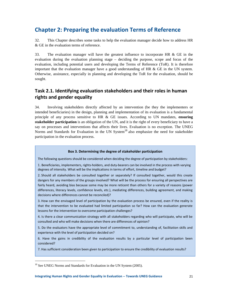### **Chapter 2: Preparing the evaluation Terms of Reference**

32. This Chapter describes some tasks to help the evaluation manager decide how to address HR & GE in the evaluation terms of reference.

33. The evaluation manager will have the greatest influence to incorporate HR & GE in the evaluation during the evaluation planning stage – deciding the purpose, scope and focus of the evaluation, including potential users and developing the Terms of Reference (ToR). It is therefore important that the evaluation manager have a good understanding of HR  $\&$  GE in the UN system. Otherwise, assistance, especially in planning and developing the ToR for the evaluation, should be sought.

### **Task 2.1. Identifying evaluation stakeholders and their roles in human rights and gender equality**

34. Involving stakeholders directly affected by an intervention (be they the implementers or intended beneficiaries) in the design, planning and implementation of its evaluation is a fundamental principle of any process sensitive to HR & GE issues. According to UN mandates, **ensuring stakeholder participation** is an obligation of the UN, and it is the right of every beneficiary to have a say on processes and interventions that affects their lives. Evaluation is no exception. The UNEG Norms and Standards for Evaluation in the UN System<sup>18</sup> also emphasize the need for stakeholder participation in the evaluation process.

#### **Box 3. Determining the degree of stakeholder participation**

The following questions should be considered when deciding the degree of participation by stakeholders:

1. Beneficiaries, implementers, rights‐holders, and duty‐bearers can be involved in the process with varying degrees of intensity. What will be the implications in terms of effort, timeline and budget?

2. Should all stakeholders be consulted together or separately? If consulted together, would this create dangers for any members of the groups involved? What will be the process for ensuring all perspectives are fairly heard, avoiding bias because some may be more reticent than others for a variety of reasons (power differences, literacy levels, confidence levels, etc.), mediating differences, building agreement, and making decisions where differences cannot be reconciled)?

3. How can the envisaged level of participation by the evaluation process be ensured, even if the reality is that the intervention to be evaluated had limited participation so far? How can the evaluation generate lessons for the intervention to overcome participation challenges?

4. Is there a clear communication strategy with all stakeholders regarding who will participate, who will be consulted and who will make decisions when there are differences of opinion?

5. Do the evaluators have the appropriate level of commitment to, understanding of, facilitation skills and experience with the level of participation decided on?

6. Have the gains in credibility of the evaluation results by a particular level of participation been considered?

7. Has sufficient consideration been given to participation to ensure the credibility of evaluation results?

<sup>&</sup>lt;sup>18</sup> See UNEG Norms and Standards for Evaluation in the UN System (2005).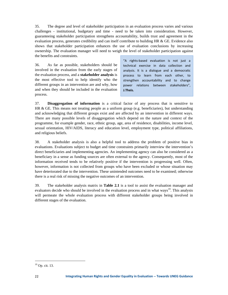35. The degree and level of stakeholder participation in an evaluation process varies and various challenges - institutional, budgetary and time - need to be taken into consideration. However, guaranteeing stakeholder participation strengthens accountability, builds trust and agreement in the evaluation process, generates credibility and can itself contribute to building HR & GE. Evidence also shows that stakeholder participation enhances the use of evaluation conclusions by increasing ownership. The evaluation manager will need to weigh the level of stakeholder participation against the benefits and constraints.

36. As far as possible, stakeholders should be involved in the evaluation from the early stages of the evaluation process, and a **stakeholder analysis** is the most effective tool to help identify who the different groups in an intervention are and why, how and when they should be included in the evaluation process.

"A rights‐based evaluation is not just a technical exercise in data collection and analysis. It is a dialogue and a democratic process to learn from each other, to strengthen accountability and to change power relations between stakeholders", **J.Theis.**

37. **Disaggregation of information** is a critical factor of any process that is sensitive to HR  $\&$  GE. This means not treating people as a uniform group (e.g. beneficiaries), but understanding and acknowledging that different groups exist and are affected by an intervention in different ways. There are many possible levels of disaggregation which depend on the nature and context of the programme, for example gender, race, ethnic group, age, area of residence, disabilities, income level, sexual orientation, HIV/AIDS, literacy and education level, employment type, political affiliations, and religious beliefs.

38. A stakeholder analysis is also a helpful tool to address the problem of positive bias in evaluations. Evaluations subject to budget and time constraints primarily interview the intervention's direct beneficiaries and implementing agencies. An implementing agency can also be considered as a beneficiary in a sense as funding sources are often external to the agency. Consequently, most of the information received tends to be relatively positive if the intervention is progressing well. Often, however, information is not collected from groups who have been excluded or whose situation may have deteriorated due to the intervention. These unintended outcomes need to be examined; otherwise there is a real risk of missing the negative outcomes of an intervention.

39. The stakeholder analysis matrix in **Table 2.1** is a tool to assist the evaluation manager and evaluators decide who should be involved in the evaluation process and in what ways<sup>19</sup>. This analysis will permeate the whole evaluation process with different stakeholder groups being involved in different stages of the evaluation.

<sup>19</sup> Op. cit. 13.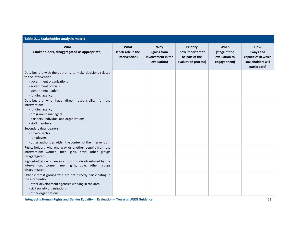| Table 2.1. Stakeholder analysis matrix                                                                                                                                                         |                                             |                                                         |                                                                               |                                                        |                                                                              |
|------------------------------------------------------------------------------------------------------------------------------------------------------------------------------------------------|---------------------------------------------|---------------------------------------------------------|-------------------------------------------------------------------------------|--------------------------------------------------------|------------------------------------------------------------------------------|
| Who<br>(stakeholders, disaggregated as appropriate)                                                                                                                                            | What<br>(their role in the<br>intervention) | Why<br>(gains from<br>involvement in the<br>evaluation) | <b>Priority</b><br>(how important to<br>be part of the<br>evaluation process) | When<br>(stage of the<br>evaluation to<br>engage them) | How<br>(ways and<br>capacities in which<br>stakeholders will<br>participate) |
| Duty-bearers with the authority to make decisions related<br>to the intervention:<br>- government organizations<br>- government officials<br>- government leaders<br>- funding agency          |                                             |                                                         |                                                                               |                                                        |                                                                              |
| Duty-bearers who have direct responsibility for the<br>intervention:<br>- funding agency<br>- programme managers<br>- partners (individual and organizations)<br>- staff members               |                                             |                                                         |                                                                               |                                                        |                                                                              |
| Secondary duty-bearers:<br>- private sector<br>-- employers<br>- other authorities within the context of the intervention                                                                      |                                             |                                                         |                                                                               |                                                        |                                                                              |
| Rights-holders who one way or another benefit from the<br>intervention: women, men, girls, boys; other groups<br>disaggregated                                                                 |                                             |                                                         |                                                                               |                                                        |                                                                              |
| Rights-holders who are in a position disadvantaged by the<br>intervention: women, men, girls, boys; other groups<br>disaggregated                                                              |                                             |                                                         |                                                                               |                                                        |                                                                              |
| Other interest groups who are not directly participating in<br>the intervention:<br>- other development agencies working in the area<br>- civil society organizations<br>- other organizations |                                             |                                                         |                                                                               |                                                        |                                                                              |

**Integrating Human Rights and Gender Equality in Evaluation ‐‐ Towards UNEG Guidance** 23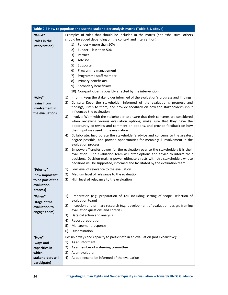| Table 2.2 How to populate and use the stakeholder analysis matrix (Table 2.1. above) |                                                                                                                                                                |  |  |  |
|--------------------------------------------------------------------------------------|----------------------------------------------------------------------------------------------------------------------------------------------------------------|--|--|--|
| "What"                                                                               | Examples of roles that should be included in the matrix (not exhaustive, others                                                                                |  |  |  |
| (roles in the                                                                        | should be added depending on the context and intervention):                                                                                                    |  |  |  |
| intervention)                                                                        | Funder - more than 50%<br>1)                                                                                                                                   |  |  |  |
|                                                                                      | Funder - less than 50%<br>2)                                                                                                                                   |  |  |  |
|                                                                                      | 3)<br>Partner                                                                                                                                                  |  |  |  |
|                                                                                      | Advisor<br>4)                                                                                                                                                  |  |  |  |
|                                                                                      | 5)<br>Supporter                                                                                                                                                |  |  |  |
|                                                                                      | 6)<br>Programme management                                                                                                                                     |  |  |  |
|                                                                                      | Programme staff member<br>7)                                                                                                                                   |  |  |  |
|                                                                                      | Primary beneficiary<br>8)                                                                                                                                      |  |  |  |
|                                                                                      | Secondary beneficiary<br>9)                                                                                                                                    |  |  |  |
|                                                                                      | 10) Non-participants possibly affected by the intervention                                                                                                     |  |  |  |
| "Why"                                                                                | Inform: Keep the stakeholder informed of the evaluation's progress and findings<br>1)                                                                          |  |  |  |
| (gains from                                                                          | Consult: Keep the stakeholder informed of the evaluation's progress and<br>2)                                                                                  |  |  |  |
| involvement in                                                                       | findings, listen to them, and provide feedback on how the stakeholder's input                                                                                  |  |  |  |
| the evaluation)                                                                      | influenced the evaluation                                                                                                                                      |  |  |  |
|                                                                                      | Involve: Work with the stakeholder to ensure that their concerns are considered<br>3)                                                                          |  |  |  |
|                                                                                      | when reviewing various evaluation options; make sure that they have the<br>opportunity to review and comment on options, and provide feedback on how           |  |  |  |
|                                                                                      | their input was used in the evaluation                                                                                                                         |  |  |  |
|                                                                                      | Collaborate: Incorporate the stakeholder's advice and concerns to the greatest<br>4)                                                                           |  |  |  |
|                                                                                      | degree possible, and provide opportunities for meaningful involvement in the                                                                                   |  |  |  |
|                                                                                      | evaluation process                                                                                                                                             |  |  |  |
|                                                                                      | Empower: Transfer power for the evaluation over to the stakeholder: it is their<br>5)                                                                          |  |  |  |
|                                                                                      | evaluation. The evaluation team will offer options and advice to inform their                                                                                  |  |  |  |
|                                                                                      | decisions. Decision-making power ultimately rests with this stakeholder, whose<br>decisions will be supported, informed and facilitated by the evaluation team |  |  |  |
|                                                                                      |                                                                                                                                                                |  |  |  |
| "Priority"                                                                           | Low level of relevance to the evaluation<br>1)                                                                                                                 |  |  |  |
| (how important                                                                       | Medium level of relevance to the evaluation<br>2)                                                                                                              |  |  |  |
| to be part of the                                                                    | 3)<br>High level of relevance to the evaluation                                                                                                                |  |  |  |
| evaluation<br>process)                                                               |                                                                                                                                                                |  |  |  |
|                                                                                      |                                                                                                                                                                |  |  |  |
| "When"                                                                               | Preparation (e.g. preparation of ToR including setting of scope, selection of<br>1)<br>evaluation team)                                                        |  |  |  |
| (stage of the                                                                        | Inception and primary research (e.g. development of evaluation design, framing<br>2)                                                                           |  |  |  |
| evaluation to                                                                        | evaluation questions and criteria)                                                                                                                             |  |  |  |
| engage them)                                                                         | Data collection and analysis<br>3)                                                                                                                             |  |  |  |
|                                                                                      | 4)<br>Report preparation                                                                                                                                       |  |  |  |
|                                                                                      | 5)<br>Management response                                                                                                                                      |  |  |  |
|                                                                                      | Dissemination<br>6)                                                                                                                                            |  |  |  |
| "How"                                                                                | Possible ways and capacity to participate in an evaluation (not exhaustive):                                                                                   |  |  |  |
| (ways and                                                                            | As an informant<br>1)                                                                                                                                          |  |  |  |
| capacities in                                                                        | As a member of a steering committee<br>2)                                                                                                                      |  |  |  |
| which                                                                                | 3)<br>As an evaluator                                                                                                                                          |  |  |  |
| stakeholders will                                                                    | As audience to be informed of the evaluation<br>4)                                                                                                             |  |  |  |
| participate)                                                                         |                                                                                                                                                                |  |  |  |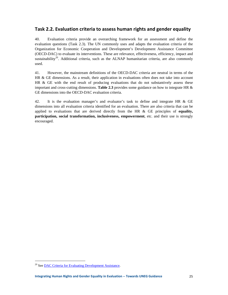#### **Task 2.2. Evaluation criteria to assess human rights and gender equality**

40. Evaluation criteria provide an overarching framework for an assessment and define the evaluation questions (Task 2.3). The UN commonly uses and adapts the evaluation criteria of the Organization for Economic Cooperation and Development's Development Assistance Committee (OECD-DAC) to evaluate its interventions. These are relevance, effectiveness, efficiency, impact and sustainability<sup>20</sup>. Additional criteria, such as the ALNAP humanitarian criteria, are also commonly used.

41. However, the mainstream definitions of the OECD-DAC criteria are neutral in terms of the HR & GE dimensions. As a result, their application in evaluations often does not take into account HR & GE with the end result of producing evaluations that do not substantively assess these important and cross-cutting dimensions. **Table 2.3** provides some guidance on how to integrate HR & GE dimensions into the OECD-DAC evaluation criteria.

42. It is the evaluation manager's and evaluator's task to define and integrate HR & GE dimensions into all evaluation criteria identified for an evaluation. There are also criteria that can be applied to evaluations that are derived directly from the HR & GE principles of **equality, participation, social transformation, inclusiveness, empowerment**, etc. and their use is strongly encouraged.

<sup>&</sup>lt;sup>20</sup> See <u>DAC Criteria for Evaluating Development Assistance</u>.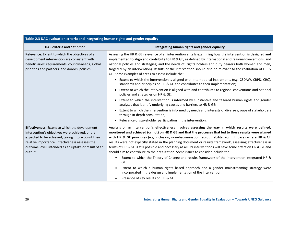| Table 2.3 DAC evaluation criteria and integrating numan rights and gender equality                                                                                                                                                                                                  |                                                                                                                                                                                                                                                                                                                                                                                                                                                                                                                                                                                                                                                                                                                                                                                                                                                                                                                                  |  |
|-------------------------------------------------------------------------------------------------------------------------------------------------------------------------------------------------------------------------------------------------------------------------------------|----------------------------------------------------------------------------------------------------------------------------------------------------------------------------------------------------------------------------------------------------------------------------------------------------------------------------------------------------------------------------------------------------------------------------------------------------------------------------------------------------------------------------------------------------------------------------------------------------------------------------------------------------------------------------------------------------------------------------------------------------------------------------------------------------------------------------------------------------------------------------------------------------------------------------------|--|
| <b>DAC criteria and definition</b>                                                                                                                                                                                                                                                  | Integrating human rights and gender equality                                                                                                                                                                                                                                                                                                                                                                                                                                                                                                                                                                                                                                                                                                                                                                                                                                                                                     |  |
| Relevance: Extent to which the objectives of a<br>development intervention are consistent with<br>beneficiaries' requirements, country-needs, global<br>priorities and partners' and donors' policies                                                                               | Assessing the HR & GE relevance of an intervention entails examining how the intervention is designed and<br>implemented to align and contribute to HR & GE, as defined by international and regional conventions; and<br>national policies and strategies; and the needs of rights holders and duty bearers both women and men,<br>targeted by an intervention). Results of the intervention should also be relevant to the realization of HR &<br>GE. Some examples of areas to assess include the:<br>Extent to which the intervention is aligned with international instruments (e.g. CEDAW, CRPD, CRC),<br>$\bullet$                                                                                                                                                                                                                                                                                                        |  |
|                                                                                                                                                                                                                                                                                     | standards and principles on HR & GE and contributes to their implementation;<br>Extent to which the intervention is aligned with and contributes to regional conventions and national<br>policies and strategies on HR & GE;                                                                                                                                                                                                                                                                                                                                                                                                                                                                                                                                                                                                                                                                                                     |  |
|                                                                                                                                                                                                                                                                                     | Extent to which the intervention is informed by substantive and tailored human rights and gender<br>$\bullet$<br>analyses that identify underlying causes and barriers to HR & GE;                                                                                                                                                                                                                                                                                                                                                                                                                                                                                                                                                                                                                                                                                                                                               |  |
|                                                                                                                                                                                                                                                                                     | Extent to which the intervention is informed by needs and interests of diverse groups of stakeholders<br>$\bullet$<br>through in-depth consultation;                                                                                                                                                                                                                                                                                                                                                                                                                                                                                                                                                                                                                                                                                                                                                                             |  |
|                                                                                                                                                                                                                                                                                     | Relevance of stakeholder participation in the intervention.<br>$\bullet$                                                                                                                                                                                                                                                                                                                                                                                                                                                                                                                                                                                                                                                                                                                                                                                                                                                         |  |
| <b>Effectiveness:</b> Extent to which the development<br>intervention's objectives were achieved, or are<br>expected to be achieved, taking into account their<br>relative importance. Effectiveness assesses the<br>outcome level, intended as an uptake or result of an<br>output | Analysis of an intervention's effectiveness involves assessing the way in which results were defined,<br>monitored and achieved (or not) on HR & GE and that the processes that led to these results were aligned<br>with HR & GE principles (e.g. inclusion, non-discrimination, accountability, etc.). In cases where HR & GE<br>results were not explicitly stated in the planning document or results framework, assessing effectiveness in<br>terms of HR & GE is still possible and necessary as all UN interventions will have some effect on HR & GE and<br>should aim to contribute to their realization. Some issues to consider include the:<br>Extent to which the Theory of Change and results framework of the intervention integrated HR &<br>GE;<br>Extent to which a human rights based approach and a gender mainstreaming strategy were<br>incorporated in the design and implementation of the intervention; |  |
|                                                                                                                                                                                                                                                                                     | Presence of key results on HR & GE.                                                                                                                                                                                                                                                                                                                                                                                                                                                                                                                                                                                                                                                                                                                                                                                                                                                                                              |  |

#### **Table 2.3 DAC evaluationcriteria and integrating human rights and gender equality**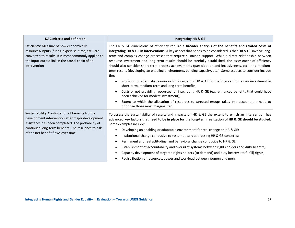| DAC criteria and definition                                                                                                                                                                                                                            | <b>Integrating HR &amp; GE</b>                                                                                                                                                                                                                                                                                                                                                                                                                                                                                                                                                                                                                                                                                                                                                                                                                                                                                                                                                                                                                                                                |
|--------------------------------------------------------------------------------------------------------------------------------------------------------------------------------------------------------------------------------------------------------|-----------------------------------------------------------------------------------------------------------------------------------------------------------------------------------------------------------------------------------------------------------------------------------------------------------------------------------------------------------------------------------------------------------------------------------------------------------------------------------------------------------------------------------------------------------------------------------------------------------------------------------------------------------------------------------------------------------------------------------------------------------------------------------------------------------------------------------------------------------------------------------------------------------------------------------------------------------------------------------------------------------------------------------------------------------------------------------------------|
| Efficiency: Measure of how economically<br>resources/inputs (funds, expertise, time, etc.) are<br>converted to results. It is most commonly applied to<br>the input-output link in the causal chain of an<br>intervention                              | The HR & GE dimensions of efficiency require a broader analysis of the benefits and related costs of<br>integrating HR & GE in interventions. A key aspect that needs to be considered is that HR & GE involve long-<br>term and complex change processes that require sustained support. While a direct relationship between<br>resource investment and long term results should be carefully established, the assessment of efficiency<br>should also consider short term process achievements (participation and inclusiveness, etc.) and medium-<br>term results (developing an enabling environment, building capacity, etc.). Some aspects to consider include<br>the:<br>Provision of adequate resources for integrating HR & GE in the intervention as an investment in<br>$\bullet$<br>short-term, medium-term and long-term benefits;<br>Costs of not providing resources for integrating HR & GE (e.g. enhanced benefits that could have<br>been achieved for modest investment);<br>Extent to which the allocation of resources to targeted groups takes into account the need to |
| Sustainability: Continuation of benefits from a<br>development intervention after major development<br>assistance has been completed. The probability of<br>continued long-term benefits. The resilience to risk<br>of the net benefit flows over time | prioritize those most marginalized.<br>To assess the sustainability of results and impacts on HR & GE the extent to which an intervention has<br>advanced key factors that need to be in place for the long-term realization of HR & GE should be studied.<br>Some examples include:<br>Developing an enabling or adaptable environment for real change on HR & GE;<br>Institutional change conducive to systematically addressing HR & GE concerns;<br>٠<br>Permanent and real attitudinal and behavioral change conducive to HR & GE;<br>$\bullet$<br>Establishment of accountability and oversight systems between rights holders and duty-bearers;<br>$\bullet$<br>Capacity development of targeted rights holders (to demand) and duty bearers (to fulfill) rights;<br>Redistribution of resources, power and workload between women and men.                                                                                                                                                                                                                                            |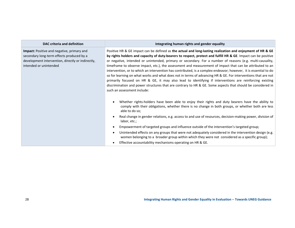| DAC criteria and definition                                                                                                                                                   | Integrating human rights and gender equality                                                                                                                                                                                                                                                                                                                                                                                                                                                                                                                                                                                                                                                                                                                                                                                                                                                                                                         |
|-------------------------------------------------------------------------------------------------------------------------------------------------------------------------------|------------------------------------------------------------------------------------------------------------------------------------------------------------------------------------------------------------------------------------------------------------------------------------------------------------------------------------------------------------------------------------------------------------------------------------------------------------------------------------------------------------------------------------------------------------------------------------------------------------------------------------------------------------------------------------------------------------------------------------------------------------------------------------------------------------------------------------------------------------------------------------------------------------------------------------------------------|
| <b>Impact:</b> Positive and negative, primary and<br>secondary long-term effects produced by a<br>development intervention, directly or indirectly,<br>intended or unintended | Positive HR & GE impact can be defined as the actual and long-lasting realization and enjoyment of HR & GE<br>by rights holders and capacity of duty-bearers to respect, protect and fulfill HR & GE. Impact can be positive<br>or negative, intended or unintended, primary or secondary. For a number of reasons (e.g. multi-causality,<br>timeframe to observe impact, etc.), the assessment and measurement of impact that can be attributed to an<br>intervention, or to which an intervention has contributed, is a complex endeavor; however, it is essential to do<br>so for learning on what works and what does not in terms of advancing HR & GE. For interventions that are not<br>primarily focused on HR & GE, it may also lead to identifying if interventions are reinforcing existing<br>discrimination and power structures that are contrary to HR & GE. Some aspects that should be considered in<br>such an assessment include: |
|                                                                                                                                                                               | Whether rights-holders have been able to enjoy their rights and duty bearers have the ability to<br>comply with their obligations, whether there is no change in both groups, or whether both are less<br>able to do so;                                                                                                                                                                                                                                                                                                                                                                                                                                                                                                                                                                                                                                                                                                                             |
|                                                                                                                                                                               | Real change in gender relations, e.g. access to and use of resources, decision-making power, division of<br>labor, etc.;                                                                                                                                                                                                                                                                                                                                                                                                                                                                                                                                                                                                                                                                                                                                                                                                                             |
|                                                                                                                                                                               | Empowerment of targeted groups and influence outside of the intervention's targeted group;                                                                                                                                                                                                                                                                                                                                                                                                                                                                                                                                                                                                                                                                                                                                                                                                                                                           |
|                                                                                                                                                                               | Unintended effects on any groups that were not adequately considered in the intervention design (e.g.<br>women belonging to a broader group within which they were not considered as a specific group);                                                                                                                                                                                                                                                                                                                                                                                                                                                                                                                                                                                                                                                                                                                                              |
|                                                                                                                                                                               | Effective accountability mechanisms operating on HR & GE.                                                                                                                                                                                                                                                                                                                                                                                                                                                                                                                                                                                                                                                                                                                                                                                                                                                                                            |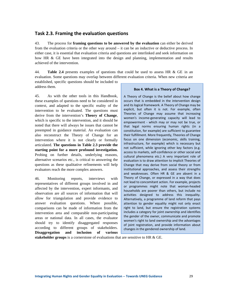#### **Task 2.3. Framing the evaluation questions**

43. The process for **framing questions to be answered by the evaluation** can either be derived from the evaluation criteria or the other way around – it can be an inductive or deductive process. In either case, it is essential that evaluation criteria and questions are interlinked and seek information on how HR & GE have been integrated into the design and planning, implementation and results achieved of the intervention.

44. **Table 2.4** presents examples of questions that could be used to assess HR & GE in an evaluation. Some questions may overlap between different evaluation criteria. When new criteria are

established, specific questions should be included to address them.

45. As with the other tools in this Handbook, these examples of questions need to be considered in context, and adapted to the specific reality of the intervention to be evaluated. The questions must derive from the intervention's **Theory of Change**, which is specific to the intervention, and it should be noted that there will always be issues that cannot be preempted in guidance material. An evaluation can also reconstruct the Theory of Change for an intervention where it is not clearly or formally articulated. **The questions in Table 2.3 provide the starting point for a more profound investigation.** Probing on further details, underlying reasons, alternative scenarios etc., is critical to answering the questions as these qualitative refinements will help evaluators reach the more complex answers.

46. Monitoring reports, interviews with representatives of different groups involved in and affected by the intervention, expert informants, and observation are all sources of information that will allow for triangulation and provide evidence to answer evaluation questions. Where possible, comparisons can be made of information from the intervention area and comparable non-participating areas or national data. In all cases, the evaluator should try to identify disaggregated responses according to different groups of stakeholders. **Disaggregation and inclusion of various** 

#### **Box 4. What is a Theory of Change?**

A Theory of Change is the belief about how change occurs that is embedded in the intervention design and its logical framework. A Theory of Change may be explicit, but often it is not. For example, often Theories of Change may assume that increasing women's income‐generating capacity will lead to empowerment - which may or may not be true, or that legal norms ensuring human rights (in a constitution, for example) are sufficient to guarantee their fulfillment. More frequently, Theories of Change focus on one dimension (economic, skills training, infrastructure, for example) which is necessary but not sufficient, while ignoring other key factors (e.g. access to markets, self‐confidence or other social and cultural phenomena etc.) A very important role of evaluation is to draw attention to implicit Theories of Change that may derive from social theory or from institutional approaches, and assess their strengths and weaknesses. Often HR & GE are absent in a Theory of Change, or expressed in a way that does not lead to concomitant action. For example, projects or programmes might note that woman‐headed households are poorer than others, but include no activities designed to address this inequality. Alternatively, a programme of land reform that pays attention to gender equality might not only enact right to land, but ensure the registration systems includes a category for joint ownership and identifies the gender of the owner, communicate and promote women's right to land ownership and the advantages of joint registration, and provide information about changes in the gendered ownership of land.

**stakeholder groups** is a cornerstone of evaluations that are sensitive to HR & GE.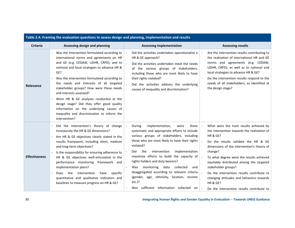| Table 2.4. Framing the evaluation questions to assess design and planning, implementation and results |                                                                                                                                                                                                                                                                                                                                                                                                                                                                                                                                                                 |                                                                                                                                                                                                                                                                                                                                                                                                                                                                                                                                                  |                                                                                                                                                                                                                                                                                                                                                                                                                                                                                                    |  |  |  |  |
|-------------------------------------------------------------------------------------------------------|-----------------------------------------------------------------------------------------------------------------------------------------------------------------------------------------------------------------------------------------------------------------------------------------------------------------------------------------------------------------------------------------------------------------------------------------------------------------------------------------------------------------------------------------------------------------|--------------------------------------------------------------------------------------------------------------------------------------------------------------------------------------------------------------------------------------------------------------------------------------------------------------------------------------------------------------------------------------------------------------------------------------------------------------------------------------------------------------------------------------------------|----------------------------------------------------------------------------------------------------------------------------------------------------------------------------------------------------------------------------------------------------------------------------------------------------------------------------------------------------------------------------------------------------------------------------------------------------------------------------------------------------|--|--|--|--|
| <b>Criteria</b>                                                                                       | Assessing design and planning                                                                                                                                                                                                                                                                                                                                                                                                                                                                                                                                   | <b>Assessing implementation</b>                                                                                                                                                                                                                                                                                                                                                                                                                                                                                                                  | <b>Assessing results</b>                                                                                                                                                                                                                                                                                                                                                                                                                                                                           |  |  |  |  |
| Relevance                                                                                             | Was the intervention formulated according to<br>international norms and agreements on HR<br>and GE (e.g. CEDAW, UDHR, CRPD), and to<br>national and local strategies to advance HR &<br>GE?<br>Was the intervention formulated according to<br>the needs and interests of all targeted<br>stakeholder groups? How were these needs<br>and interests assessed?<br>Were HR & GE analyses conducted at the<br>design stage? Did they offer good quality<br>information on the underlying causes of<br>inequality and discrimination to inform the<br>intervention? | Did the activities undertaken operationalize a<br>HR & GE approach?<br>Did the activities undertaken meet the needs<br>of the various groups of stakeholders,<br>including those who are most likely to have<br>their rights violated?<br>Did the activities address the underlying<br>causes of inequality and discrimination?                                                                                                                                                                                                                  | Are the intervention results contributing to<br>the realization of international HR and GE<br>norms and agreements (e.g. CEDAW,<br>UDHR, CRPD), as well as to national and<br>local strategies to advance HR & GE?<br>Do the intervention results respond to the<br>needs of all stakeholders, as identified at<br>the design stage?                                                                                                                                                               |  |  |  |  |
| <b>Effectiveness</b>                                                                                  | Did the intervention's theory of change<br>incorporate the HR & GE dimensions?<br>Are HR & GE objectives clearly stated in the<br>results framework, including short, medium<br>and long-term objectives?<br>Is the responsibility for ensuring adherence to<br>HR & GE objectives well-articulated in the<br>performance monitoring framework and<br>implementation plans?<br>intervention<br>Does the<br>specific<br>have<br>quantitative and qualitative indicators and<br>baselines to measure progress on HR & GE?                                         | implementation,<br>During<br>were<br>there  <br>systematic and appropriate efforts to include<br>various groups of stakeholders, including<br>those who are most likely to have their rights<br>violated?<br>implementation<br>Did<br>the<br>intervention<br>maximize efforts to build the capacity of<br>rights holders and duty bearers?<br>collected<br>monitoring<br>data<br>Was<br>and<br>disaggregated according to relevant criteria<br>(gender, age, ethnicity, location, income<br>$etc.$ )?<br>Was sufficient information collected on | What were the main results achieved by<br>$\sim$<br>the intervention towards the realization of<br><b>HR &amp; GE?</b><br>Do the results validate the HR & GE<br>dimensions of the intervention's theory of<br>change?<br>To what degree were the results achieved<br>equitably distributed among the targeted<br>stakeholder groups?<br>Do the intervention results contribute to<br>changing attitudes and behaviors towards<br><b>HR &amp; GE?</b><br>Do the intervention results contribute to |  |  |  |  |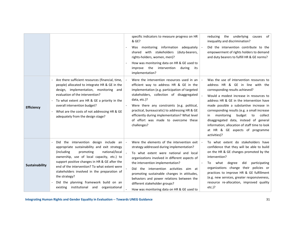|                   |                                                                                                                                                                                                                                                                                                                                                                                                                                            | specific indicators to measure progress on HR<br>& GE?<br>monitoring information adequately<br>Was<br>shared with stakeholders<br>(duty-bearers,<br>rights-holders, women, men)?<br>How was monitoring data on HR & GE used to<br>improve the intervention<br>during<br>its<br>implementation?                                                                                                                                               | reducing the underlying<br>of<br>causes<br>inequality and discrimination?<br>Did the intervention contribute to the<br>empowerment of rights holders to demand<br>and duty bearers to fulfill HR & GE norms?                                                                                                                                                                                                                                                                                   |
|-------------------|--------------------------------------------------------------------------------------------------------------------------------------------------------------------------------------------------------------------------------------------------------------------------------------------------------------------------------------------------------------------------------------------------------------------------------------------|----------------------------------------------------------------------------------------------------------------------------------------------------------------------------------------------------------------------------------------------------------------------------------------------------------------------------------------------------------------------------------------------------------------------------------------------|------------------------------------------------------------------------------------------------------------------------------------------------------------------------------------------------------------------------------------------------------------------------------------------------------------------------------------------------------------------------------------------------------------------------------------------------------------------------------------------------|
| <b>Efficiency</b> | Are there sufficient resources (financial, time,<br>people) allocated to integrate HR & GE in the<br>design, implementation, monitoring and<br>evaluation of the intervention?<br>To what extent are HR & GE a priority in the<br>overall intervention budget?<br>What are the costs of not addressing HR & GE<br>adequately from the design stage?                                                                                        | Were the intervention resources used in an<br>efficient way to address HR & GE in the<br>implementation (e.g. participation of targeted<br>stakeholders, collection of disaggregated<br>data, etc.)?<br>Were there any constraints (e.g. political,<br>practical, bureaucratic) to addressing HR & GE<br>efficiently during implementation? What level<br>of effort was made to overcome these<br>challenges?                                | Was the use of intervention resources to<br>address HR & GE in line with the<br>corresponding results achieved?<br>Would a modest increase in resources to<br>address HR & GE in the intervention have<br>made possible a substantive increase in<br>corresponding results (e.g. a small increase<br>budget<br>monitoring<br>collect<br>to<br>in<br>disaggregated data, instead of general<br>information; allocation of staff time to look<br>at HR & GE aspects of programme<br>activities)? |
| Sustainability    | Did the intervention design include an<br>appropriate sustainability and exit strategy<br>(including)<br>promoting<br>national/local<br>ownership, use of local capacity, etc.) to<br>support positive changes in HR & GE after the<br>end of the intervention? To what extent were<br>stakeholders involved in the preparation of<br>the strategy?<br>Did the planning framework build on an<br>existing institutional and organizational | Were the elements of the intervention exit<br>strategy addressed during implementation?<br>To what extent were national and local<br>organizations involved in different aspects of<br>the intervention implementation?<br>Did the intervention activities aim at<br>promoting sustainable changes in attitudes,<br>behaviors and power relations between the<br>different stakeholder groups?<br>How was monitoring data on HR & GE used to | To what extent do stakeholders have<br>confidence that they will be able to build<br>on the HR & GE changes promoted by the<br>intervention?<br>did<br>participating<br>what<br>degree<br>To<br>organizations change their policies or<br>practices to improve HR & GE fulfillment<br>(e.g. new services, greater responsiveness,<br>resource re-allocation, improved quality<br>$etc.$ )?                                                                                                     |

**Integrating Human Rights and Gender Equality in Evaluation ‐‐ Towards UNEG Guidance** 31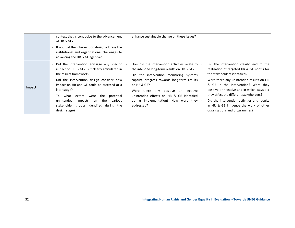|               | context that is conducive to the advancement<br>of HR & GE?<br>If not, did the intervention design address the<br>institutional and organizational challenges to<br>advancing the HR & GE agenda?                                                                                                                                                                                                 | enhance sustainable change on these issues?                                                                                                                                                                                                                                                                                                           |                                                                                                                                                                                                                                                                                                                                                                                                                            |
|---------------|---------------------------------------------------------------------------------------------------------------------------------------------------------------------------------------------------------------------------------------------------------------------------------------------------------------------------------------------------------------------------------------------------|-------------------------------------------------------------------------------------------------------------------------------------------------------------------------------------------------------------------------------------------------------------------------------------------------------------------------------------------------------|----------------------------------------------------------------------------------------------------------------------------------------------------------------------------------------------------------------------------------------------------------------------------------------------------------------------------------------------------------------------------------------------------------------------------|
| <b>Impact</b> | Did the intervention envisage any specific<br>impact on HR & GE? Is it clearly articulated in<br>the results framework?<br>Did the intervention design consider how<br>impact on HR and GE could be assessed at a<br>later stage?<br>the<br>potential<br>what<br>extent were<br>To.<br>unintended<br>impacts<br>the<br>various<br>on<br>stakeholder groups identified during the<br>design stage? | How did the intervention activities relate to<br>the intended long-term results on HR & GE?<br>Did the intervention monitoring systems<br>capture progress towards long-term results<br>on HR & GE?<br>any positive<br>Were there<br>negative<br>or<br>unintended effects on HR & GE identified<br>during implementation? How were they<br>addressed? | Did the intervention clearly lead to the<br>realization of targeted HR & GE norms for<br>the stakeholders identified?<br>Were there any unintended results on HR<br>& GE in the intervention? Were they<br>positive or negative and in which ways did<br>they affect the different stakeholders?<br>Did the intervention activities and results<br>in HR & GE influence the work of other<br>organizations and programmes? |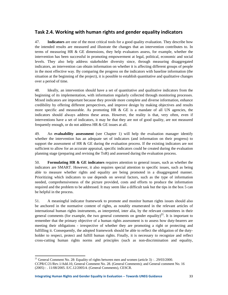#### **Task 2.4. Working with human rights and gender equality indicators**

47. **Indicators** are one of the most critical tools for a good quality evaluation. They describe how the intended results are measured and illustrate the changes that an intervention contributes to. In terms of measuring HR & GE dimensions, they help evaluators assess, for example, whether the intervention has been successful in promoting empowerment at legal, political, economic and social levels. They also help address stakeholder diversity since, through measuring disaggregated indicators, an intervention can obtain information on whether it is affecting different groups of people in the most effective way. By comparing the progress on the indicators with baseline information (the situation at the beginning of the project), it is possible to establish quantitative and qualitative changes over a period of time.

48. Ideally, an intervention should have a set of quantitative and qualitative indicators from the beginning of its implementation, with information regularly collected through monitoring processes. Mixed indicators are important because they provide more complete and diverse information, enhance credibility by offering different perspectives, and improve design by making objectives and results more specific and measurable. As promoting HR  $\&$  GE is a mandate of all UN agencies, the indicators should always address these areas. However, the reality is that, very often, even if interventions have a set of indicators, it may be that they are not of good quality, are not measured frequently enough, or do not address HR & GE issues at all.

49. An **evaluability assessment** (see Chapter 1) will help the evaluation manager identify whether the intervention has an adequate set of indicators (and information on their progress) to support the assessment of HR  $\&$  GE during the evaluation process. If the existing indicators are not sufficient to allow for an accurate appraisal, specific indicators could be created during the evaluation planning stage (preparing and revising the ToR) and assessed during the evaluation process.

50. **Formulating HR & GE indicators** requires attention to general issues, such as whether the indicators are SMART. However, it also requires special attention to specific issues, such as being able to measure whether rights and equality are being promoted in a disaggregated manner. Prioritizing which indicators to use depends on several factors, such as the type of information needed, comprehensiveness of the picture provided, costs and efforts to produce the information required and the problem to be addressed. It may seem like a difficult task but the tips in the box 5 can be helpful in the process.

51. A meaningful indicator framework to promote and monitor human rights issues should also be anchored in the normative content of rights, as notably enumerated in the relevant articles of international human rights instruments, as interpreted, inter alia, by the relevant committees in their general comments (for example, the two general comments on gender equality)<sup>21</sup>. It is important to remember that the primary objective of a human rights assessment is to assess how duty-bearers are meeting their obligations - irrespective of whether they are promoting a right or protecting and fulfilling it. Consequently, the adopted framework should be able to reflect the obligation of the dutyholder to respect, protect and fulfill human rights. Finally, it is necessary to recognize and reflect cross-cutting human rights norms and principles (such as non-discrimination and equality,

 <sup>21</sup> General Comment No. 28: Equality of rights between men and women (article 3) : . 29/03/2000. CCPR/C/21/Rev.1/Add.10, General Comment No. 28. (General Comments); and General comment No. 16 (2005) : . 11/08/2005. E/C.12/2005/4. (General Comments), CESCR.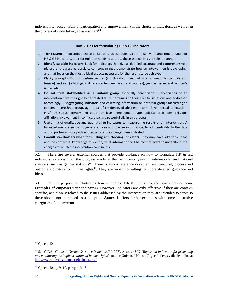indivisibility, accountability, participation and empowerment) in the choice of indicators, as well as in the process of undertaking an assessment<sup>22</sup>.

#### **Box 5. Tips for formulating HR & GE indicators**

- 1) **Think SMART**: Indicators need to be Specific, Measurable, Accurate, Relevant, and Time bound. For HR & GE indicators, their formulation needs to address these aspects in a very clear manner.
- 2) **Identify suitable indicators**: Look for indicators that give as detailed, accurate and comprehensive a picture of progress as possible, can convincingly demonstrate how an intervention is developing, and that focus on the most critical aspects necessary for the results to be achieved.
- 3) **Clarify concepts**: Do not confuse gender (a cultural construct of what it means to be male and female) and sex (a biological difference between men and women), gender issues and women's issues, etc.
- 4) **Do not treat stakeholders as a uniform group**, especially beneficiaries: Beneficiaries of an intervention have the right to be treated fairly, pertaining to their specific situations and addressed accordingly. Disaggregating indicators and collecting information on different groups (according to gender, race/ethnic group, age, area of residence, disabilities, income level, sexual orientation, HIV/AIDS status, literacy and education level, employment type, political affiliations, religious affiliation, involvement in conflict, etc.), is a powerful ally in this process.
- 5) **Use a mix of qualitative and quantitative indicators** to measure the results of an intervention: A balanced mix is essential to generate more and diverse information, to add credibility to the data and to probe on more profound aspects of the changes demonstrated.
- 6) **Consult stakeholders when formulating and choosing indicators**: They may have additional ideas and the contextual knowledge to identify what information will be most relevant to understand the changes to which the intervention contributes.

52. There are several external sources that provide guidance on how to formulate HR & GE indicators, as a result of the progress made in the last twenty years in international and national statistics, such as gender statistics<sup>23</sup>. There is also a reference document on structural, process and outcome indicators for human rights<sup>24</sup>. They are worth consulting for more detailed guidance and ideas.

53. For the purpose of illustrating how to address HR & GE issues, the boxes provide some **examples of empowerment indicators**. However, indicators are only effective if they are contextspecific, and closely related to the issues addressed by the intervention they are intended to serve so these should not be copied as a blueprint. **Annex 1** offers further examples with some illustrative categories of empowerment.

  $22$  Op. cit. 10.

<sup>23</sup> See CIDA "*Guide to Gender-Sensitive Indicators"* (1997)*.* Also see UN *"Report on indicators for promoting and monitoring the implementation of human rights"* and the Universal Human Rights Index, available online at http://www.universalhumanrightsindex.org/.

<sup>24</sup> Op. cit. 10, pp 9 -10, paragraph 15.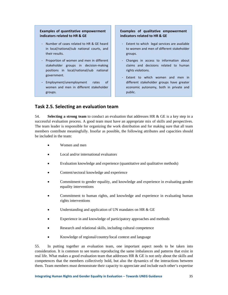#### **Examples of quantitative empowerment indicators related to HR & GE**

- ‐ Number of cases related to HR & GE heard in local/national/sub national courts, and their results.
- ‐ Proportion of women and men in different stakeholder groups in decision‐making positions in local/national/sub national government.
- ‐ Employment/unemployment rates of women and men in different stakeholder groups.

#### **Examples of qualitative empowerment indicators related to HR & GE**

- ‐ Extent to which legal services are available to women and men of different stakeholder groups.
- ‐ Changes in access to information about claims and decisions related to human rights violations.
- ‐ Extent to which women and men in different stakeholder groups have greater economic autonomy, both in private and public.

#### **Task 2.5. Selecting an evaluation team**

54. **Selecting a strong team** to conduct an evaluation that addresses HR & GE is a key step in a successful evaluation process. A good team must have an appropriate mix of skills and perspectives. The team leader is responsible for organizing the work distribution and for making sure that all team members contribute meaningfully. Insofar as possible, the following attributes and capacities should be included in the team:

- Women and men
- Local and/or international evaluators
- Evaluation knowledge and experience (quantitative and qualitative methods)
- Content/sectoral knowledge and experience
- Commitment to gender equality, and knowledge and experience in evaluating gender equality interventions
- Commitment to human rights, and knowledge and experience in evaluating human rights interventions
- Understanding and application of UN mandates on HR & GE
- Experience in and knowledge of participatory approaches and methods
- Research and relational skills, including cultural competence
- Knowledge of regional/country/local context and language

55. In putting together an evaluation team, one important aspect needs to be taken into consideration. It is common to see teams reproducing the same imbalances and patterns that exist in real life. What makes a good evaluation team that addresses HR & GE is not only about the skills and competences that the members collectively hold, but also the dynamics of the interactions between them. Team members must demonstrate their capacity to appreciate and include each other's expertise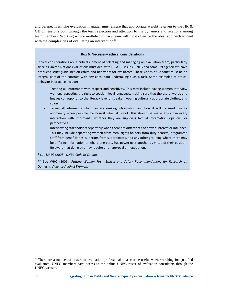and perspectives. The evaluation manager must ensure that appropriate weight is given to the HR  $\&$ GE dimensions both through the team selection and attention to the dynamics and relations among team members. Working with a multidisciplinary team will most often be the ideal approach to deal with the complexities of evaluating an intervention<sup>25</sup>.

#### **Box 6. Necessary ethical considerations**

Ethical considerations are a critical element of selecting and managing an evaluation team, particularly since all United Nations evaluations must deal with HR & GE issues. UNEG and some UN agencies\*\* have produced strict guidelines on ethics and behaviors for evaluators. These Codes of Conduct must be an integral part of the contract with any consultant undertaking such a task. Some examples of ethical behavior in practice include:

- ‐ Treating all informants with respect and sensitivity. This may include having women interview women, respecting the right to speak in local languages, making sure that the use of words and images corresponds to the literacy level of speaker, wearing culturally appropriate clothes, and so on
- Telling all informants why they are seeking information and how it will be used. Ensure anonymity when possible, be honest when it is not. This should be made explicit in every interaction with informants, whether they are supplying factual information, opinions, or perspectives
- ‐ Interviewing stakeholders separately when there are differences of power, interest or influence. This may include separating women from men, rights‐holders from duty‐bearers, programme staff from beneficiaries, superiors from subordinates, and any other grouping where there may be differing information or where one party has power over another by virtue of their position. Be aware that doing this may require prior approval or negotiation.

\* See UNEG (2008), *UNEG Code of Conduct*.

\*\* See WHO (2001), *Putting Women First: Ethical and Safety Recommendations for Research on Domestic Violence Against Women*.

<sup>&</sup>lt;sup>25</sup> There are a number of rosters of evaluation professionals that can be useful when searching for qualified evaluators. UNEG members have access to the online UNEG roster of evaluation consultants through the UNEG website.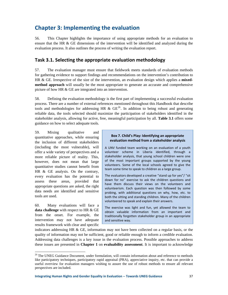### **Chapter 3: Implementing the evaluation**

56. This Chapter highlights the importance of using appropriate methods for an evaluation to ensure that the HR & GE dimensions of the intervention will be identified and analyzed during the evaluation process. It also outlines the process of writing the evaluation report.

#### **Task 3.1. Selecting the appropriate evaluation methodology**

57. The evaluation manager must ensure that fieldwork meets standards of evaluation methods for gathering evidence to support findings and recommendations on the intervention's contribution to HR & GE. Irrespective of the size of the intervention, an evaluation design which applies a **mixedmethod approach** will usually be the most appropriate to generate an accurate and comprehensive picture of how HR & GE are integrated into an intervention.

58. Defining the evaluation methodology is the first part of implementing a successful evaluation process. There are a number of external references mentioned throughout this Handbook that describe tools and methodologies for addressing HR &  $GE^{26}$ . In addition to being robust and generating reliable data, the tools selected should maximize the participation of stakeholders identified in the stakeholder analysis, allowing for active, free, meaningful participation by all. **Table 3.1** offers some guidance on how to select adequate tools.

59. Mixing qualitative and quantitative approaches, while ensuring the inclusion of different stakeholders (including the most vulnerable), will offer a wide variety of perspectives and a more reliable picture of reality. This, however, does not mean that large quantitative studies cannot benefit from HR & GE analysis. On the contrary, every evaluation has the potential to assess these areas, provided that appropriate questions are asked, the right data needs are identified and sensitive tools are used.

60. Many evaluations will face a **data challenge** with respect to HR & GE from the onset. For example, the intervention may not have adequate results framework with clear and specific

#### **Box 7. Child's Play: Identifying an appropriate evaluation method from a stakeholder analysis**

A UNV funded team working on an evaluation of a youth volunteer scheme in Liberia identified, through a stakeholder analysis, that young school children were one of the most important groups supported by the young volunteers. Some of the local schools agreed to give the team some time to speak to children as a large group.

The evaluators developed a creative "stand up for yes"/ "sit down for no" exercise to ask the children questions and have them discuss their views on the volunteers and volunteerism. Each question was then followed by some probing, with additional questions on why, how, etc. to both the sitting and standing children. Many of the children volunteered to speak and explain their answers.

The exercise was light and fun, yet allowed the team to obtain valuable information from an important and traditionally forgotten stakeholder group in an appropriate and sensitive way.

indicators addressing HR & GE, information may not have been collected on a regular basis, or the quality of information may not be sufficient, good or reliable enough to inform a credible evaluation. Addressing data challenges is a key issue in the evaluation process. Possible approaches to address these issues are presented in **Chapter 1** on **evaluability assessment**. It is important to acknowledge

 $26$  The UNEG Guidance Document, under formulation, will contain information about and reference to methods like participatory techniques, participatory rapid appraisal (PRA), appreciative inquiry, etc. that can provide a useful overview for evaluation managers wishing to assure the use of robust methods to ensure all relevant perspectives are included.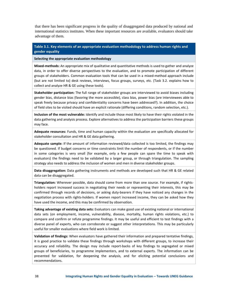that there has been significant progress in the quality of disaggregated data produced by national and international statistics institutes. When these important resources are available, evaluators should take advantage of them.

#### **Table 3.1. Key elements of an appropriate evaluation methodology to address human rights and gender equality**

**Selecting the appropriate evaluation methodology**

**Mixed‐methods:** An appropriate mix of qualitative and quantitative methods is used to gather and analyze data, in order to offer diverse perspectives to the evaluation, and to promote participation of different groups of stakeholders. Common evaluation tools that can be used in a mixed-method approach include (but are not limited to) desk reviews, interviews, focus groups, surveys, etc. (Task 3.2. explains how to collect and analyze HR & GE using these tools).

**Stakeholder participation:** The full range of stakeholder groups are interviewed to avoid biases including gender bias, distance bias (favoring the more accessible), class bias, power bias (are interviewees able to speak freely because privacy and confidentiality concerns have been addressed?). In addition, the choice of field sites to be visited should have an explicit rationale (differing conditions, random selection, etc.).

**Inclusion of the most vulnerable:** Identify and include those most likely to have their rights violated in the data gathering and analysis process. Explore alternatives to address the participation barriers these groups may face.

**Adequate resources:** Funds, time and human capacity within the evaluation are specifically allocated for stakeholder consultation and HR & GE data gathering.

**Adequate sample:** If the amount of information reviewed/data collected is too limited, the findings may be questioned. If budget concerns or time constraints limit the number of respondents, or if the number in some categories is very small (for example, only a few people can spare the time to speak with evaluators) the findings need to be validated by a larger group, or through triangulation. The sampling strategy also needs to address the inclusion of women and men in diverse stakeholder groups.

**Data disaggregation:** Data gathering instruments and methods are developed such that HR & GE related data can be disaggregated.

**Triangulation:** Wherever possible, data should come from more than one source. For example, if rights‐ holders report increased success in negotiating their needs or representing their interests, this may be confirmed through records of decisions, or asking duty-bearers if they have noticed any changes in the negotiation process with rights‐holders. If women report increased income, they can be asked how they have used the income, and this may be confirmed by observation.

**Taking advantage of existing data sets:** Evaluators can make good use of existing national or international data sets (on employment, income, vulnerability, disease, mortality, human rights violations, etc.) to compare and confirm or refute programme findings. It may be useful and efficient to test findings with a diverse panel of experts, who can corroborate or suggest other interpretations. This may be particularly useful for smaller evaluations where field work is limited.

**Validation of findings:** When evaluators have gathered their information and prepared tentative findings, it is good practice to validate these findings through workshops with different groups, to increase their accuracy and reliability. The design may include report‐backs of key findings to segregated or mixed groups of beneficiaries, to programme implementers, and to external experts. The information can be presented for validation, for deepening the analysis, and for eliciting potential conclusions and recommendations.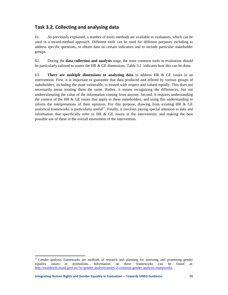#### **Task 3.2. Collecting and analysing data**

61. As previously explained, a number of tools/ methods are available to evaluators, which can be used in a mixed-method approach. Different tools can be used for different purposes including to address specific questions, to obtain data on certain indicators and to include particular stakeholder groups.

62. During the **data collection and analysis** stage, the most common tools in evaluation should be particularly tailored to assess the HR  $\&$  GE dimensions. Table 3.2 indicates how this can be done.

63. **There are multiple dimensions to analyzing data** to address HR & GE issues in an intervention. First, it is important to guarantee that data produced and offered by various groups of stakeholders, including the most vulnerable, is treated with respect and valued equally. This does not necessarily mean treating them the same. Rather, it means recognizing the differences, but not underestimating the value of the information coming from anyone. Second, it requires understanding the context of the HR  $\&$  GE issues that apply to these stakeholders, and using this understanding to inform the interpretations of their opinions. For this purpose, drawing from existing HR & GE analytical frameworks is particularly useful<sup>27</sup>. Finally, it involves paying special attention to data and information that specifically refer to HR  $&$  GE issues in the intervention, and making the best possible use of these in the overall assessment of the intervention.

 <sup>27</sup> Gender analysis frameworks are methods of research and planning for assessing and promoting gender equality issues in institutions. Information on these frameworks can be found at: http://nzaidtools.nzaid.govt.nz/?q=gender-analysis/annex-2-common-gender-analysis-frameworks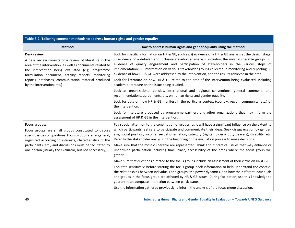| <b>Method</b>                                                                                                                                                                                                                                                                                                                       | How to address human rights and gender equality using the method                                                                                                                                                                                                                                                                                                                                                                                                                                                                                                                                                                                                                              |
|-------------------------------------------------------------------------------------------------------------------------------------------------------------------------------------------------------------------------------------------------------------------------------------------------------------------------------------|-----------------------------------------------------------------------------------------------------------------------------------------------------------------------------------------------------------------------------------------------------------------------------------------------------------------------------------------------------------------------------------------------------------------------------------------------------------------------------------------------------------------------------------------------------------------------------------------------------------------------------------------------------------------------------------------------|
| Desk review:<br>A desk review consists of a review of literature in the<br>area of the intervention, as well as documents related to<br>the intervention being evaluated (e.g. programme<br>formulation document, activity reports, monitoring<br>reports, databases, communication material produced<br>by the intervention, etc.) | Look for specific information on HR & GE, such as: i) evidence of a HR & GE analysis at the design stage;<br>ii) evidence of a detailed and inclusive stakeholder analysis, including the most vulnerable groups; iii)<br>evidence of quality engagement and participation of stakeholders in the various steps of<br>implementation; iv) information on various stakeholder groups collected in monitoring and reporting; v)<br>evidence of how HR & GE were addressed by the intervention, and the results achieved in the area.<br>Look for literature on how HR & GE relate to the area of the intervention being evaluated, including<br>academic literature on the issue being studied. |
|                                                                                                                                                                                                                                                                                                                                     | Look at organizational policies, international and regional conventions, general comments and<br>recommendations, agreements, etc. on human rights and gender equality.                                                                                                                                                                                                                                                                                                                                                                                                                                                                                                                       |
|                                                                                                                                                                                                                                                                                                                                     | Look for data on how HR & GE manifest in the particular context (country, region, community, etc.) of<br>the intervention.                                                                                                                                                                                                                                                                                                                                                                                                                                                                                                                                                                    |
|                                                                                                                                                                                                                                                                                                                                     | Look for literature produced by programme partners and other organizations that may inform the<br>assessment of HR & GE in the intervention.                                                                                                                                                                                                                                                                                                                                                                                                                                                                                                                                                  |
| <b>Focus groups:</b><br>Focus groups are small groups constituted to discuss<br>specific issues or questions. Focus groups are, in general,<br>organized according to interests, characteristics of the                                                                                                                             | Pay special attention to the constitution of groups, as it will have a significant influence on the extent to<br>which participants feel safe to participate and communicate their ideas. Seek disaggregation by gender,<br>age, social position, income, sexual orientation, category (rights holders/ duty bearers), disability, etc.<br>Refer to the stakeholder analysis in the beginning of the evaluation process to make decisions.                                                                                                                                                                                                                                                    |
| participants, etc., and discussions must be facilitated by<br>one person (usually the evaluator, but not necessarily).                                                                                                                                                                                                              | Make sure that the most vulnerable are represented. Think about practical issues that may enhance or<br>undermine participation including time, place, accessibility of the areas where the focus group will<br>gather.                                                                                                                                                                                                                                                                                                                                                                                                                                                                       |
|                                                                                                                                                                                                                                                                                                                                     | Make sure that questions directed to the focus groups include an assessment of their views on HR & GE.                                                                                                                                                                                                                                                                                                                                                                                                                                                                                                                                                                                        |
|                                                                                                                                                                                                                                                                                                                                     | Facilitate sensitively: before starting the focus group, seek information to help understand the context,<br>the relationships between individuals and groups, the power dynamics, and how the different individuals<br>and groups in the focus group are affected by HR & GE issues. During facilitation, use this knowledge to                                                                                                                                                                                                                                                                                                                                                              |
|                                                                                                                                                                                                                                                                                                                                     | guarantee an adequate interaction between participants.                                                                                                                                                                                                                                                                                                                                                                                                                                                                                                                                                                                                                                       |
|                                                                                                                                                                                                                                                                                                                                     | Use the information gathered previously to inform the analysis of the focus group discussion.                                                                                                                                                                                                                                                                                                                                                                                                                                                                                                                                                                                                 |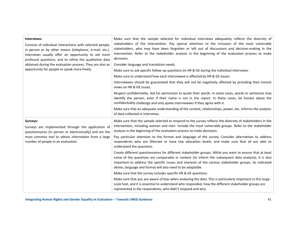| Interviews:<br>Consists of individual interactions with selected people,<br>in person or by other means (telephone, e-mail, etc.).<br>Interviews usually offer an opportunity to ask more<br>profound questions, and to refine the qualitative data<br>obtained during the evaluation process. They are also an<br>opportunity for people to speak more freely. | Make sure that the sample selected for individual interviews adequately reflects the diversity of<br>stakeholders of the intervention. Pay special attention to the inclusion of the most vulnerable<br>stakeholders, who may have been forgotten or left out of discussions and decision-making in the<br>intervention. Refer to the stakeholder analysis in the beginning of the evaluation process to make<br>decisions.<br>Consider language and translation needs.<br>Make sure to ask specific follow-up questions on HR & GE during the individual interviews.<br>Make sure to understand how each interviewee is affected by HR & GE issues.<br>Interviewees should be guaranteed that they will not be negatively affected by providing their honest<br>views on HR & GE issues.<br>Respect confidentiality. Ask for permission to quote their words. In some cases, words or sentences may<br>identify the person, even if their name is not in the report. In these cases, be honest about the<br>confidentiality challenge and only quote interviewees if they agree with it. |
|-----------------------------------------------------------------------------------------------------------------------------------------------------------------------------------------------------------------------------------------------------------------------------------------------------------------------------------------------------------------|-------------------------------------------------------------------------------------------------------------------------------------------------------------------------------------------------------------------------------------------------------------------------------------------------------------------------------------------------------------------------------------------------------------------------------------------------------------------------------------------------------------------------------------------------------------------------------------------------------------------------------------------------------------------------------------------------------------------------------------------------------------------------------------------------------------------------------------------------------------------------------------------------------------------------------------------------------------------------------------------------------------------------------------------------------------------------------------------|
|                                                                                                                                                                                                                                                                                                                                                                 | Make sure that an adequate understanding of the context, relationships, power, etc. informs the analysis<br>of data collected in interviews.                                                                                                                                                                                                                                                                                                                                                                                                                                                                                                                                                                                                                                                                                                                                                                                                                                                                                                                                              |
| Surveys:<br>Surveys are implemented through the application of<br>questionnaires (in person or electronically) and are the                                                                                                                                                                                                                                      | Make sure that the sample selected to respond to the survey reflects the diversity of stakeholders in the<br>intervention, including women and men. Include the most vulnerable groups. Refer to the stakeholder<br>analysis in the beginning of the evaluation process to make decisions.                                                                                                                                                                                                                                                                                                                                                                                                                                                                                                                                                                                                                                                                                                                                                                                                |
| most common tool to obtain information from a large<br>number of people in an evaluation.                                                                                                                                                                                                                                                                       | Pay particular attention to the format and language of the survey. Consider alternatives to address<br>respondents who are illiterate or have low education levels, and make sure that all are able to<br>understand the questions.                                                                                                                                                                                                                                                                                                                                                                                                                                                                                                                                                                                                                                                                                                                                                                                                                                                       |
|                                                                                                                                                                                                                                                                                                                                                                 | Create different questionnaires for different stakeholder groups. While you want to ensure that at least<br>some of the questions are comparable in content (to inform the subsequent data analysis), it is also<br>important to address the specific issues and interests of the various stakeholder groups. As indicated<br>above, language and format will also need to be adaptable.                                                                                                                                                                                                                                                                                                                                                                                                                                                                                                                                                                                                                                                                                                  |
|                                                                                                                                                                                                                                                                                                                                                                 | Make sure that the survey includes specific HR & GE questions.                                                                                                                                                                                                                                                                                                                                                                                                                                                                                                                                                                                                                                                                                                                                                                                                                                                                                                                                                                                                                            |
|                                                                                                                                                                                                                                                                                                                                                                 | Make sure that you are aware of bias when analyzing the data. This is particularly important in this large-<br>scale tool, and it is essential to understand who responded, how the different stakeholder groups are<br>represented in the respondents, who didn't respond and why.                                                                                                                                                                                                                                                                                                                                                                                                                                                                                                                                                                                                                                                                                                                                                                                                       |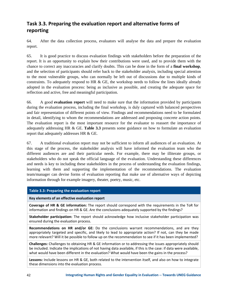### **Task 3.3. Preparing the evaluation report and alternative forms of reporting**

64. After the data collection process, evaluators will analyse the data and prepare the evaluation report.

65. It is good practice to discuss evaluation findings with stakeholders before the preparation of the report. It is an opportunity to explain how their contributions were used, and to provide them with the chance to correct any inaccuracies and clarify doubts. This can be done in the form of a **final workshop**, and the selection of participants should refer back to the stakeholder analysis, including special attention to the most vulnerable groups, who can normally be left out of discussions due to multiple kinds of constraints. To adequately respond to HR & GE, the workshop needs to follow the lines ideally already adopted in the evaluation process: being as inclusive as possible, and creating the adequate space for reflection and active, free and meaningful participation.

66. A good **evaluation report** will need to make sure that the information provided by participants during the evaluation process, including the final workshop, is duly captured with balanced perspectives and fair representation of different points of view. Findings and recommendations need to be formulated in detail, identifying to whom the recommendations are addressed and proposing concrete action points. The evaluation report is the most important resource for the evaluator to reassert the importance of adequately addressing HR & GE. **Table 3.3** presents some guidance on how to formulate an evaluation report that adequately addresses HR & GE.

67. A traditional evaluation report may not be sufficient to inform all audiences of an evaluation. At this stage of the process, the stakeholder analysis will have informed the evaluation team who the different audiences are and their particular needs. For example, there may be illiterate groups, or stakeholders who do not speak the official language of the evaluation. Understanding these differences and needs is key to including these stakeholders in the process of understanding the evaluation findings, learning with them and supporting the implementation of the recommendations. The evaluation team/manager can devise forms of evaluation reporting that make use of alternative ways of depicting information through for example imagery, theater, poetry, music, etc.

#### **Table 3.3: Preparing the evaluation report**

#### **Key elements of an effective evaluation report**

**Coverage of HR & GE information:** The report should correspond with the requirements in the ToR for information and findings on HR & GE. Are the conclusions adequately supported by the findings?

**Stakeholder participation:** The report should acknowledge how inclusive stakeholder participation was ensured during the evaluation process.

**Recommendations on HR and/or GE:** Do the conclusions warrant recommendations, and are they appropriately targeted and specific, and likely to lead to appropriate action? If not, can they be made more relevant? Will it be possible to follow up on the recommendation to see if it has been implemented?

**Challenges:** Challenges to obtaining HR & GE information or to addressing the issues appropriately should be included. Indicate the implications of not having data available, if this is the case: if data were available, what would have been different in the evaluation? What would have been the gains in the process?

**Lessons:** Include lessons on HR & GE, both related to the intervention itself, and also on how to integrate these dimensions into the evaluation process.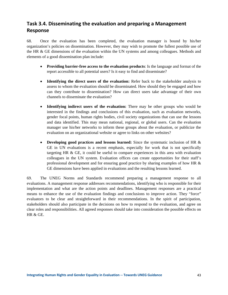### **Task 3.4. Disseminating the evaluation and preparing a Management Response**

68. Once the evaluation has been completed, the evaluation manager is bound by his/her organization's policies on dissemination. However, they may wish to promote the fullest possible use of the HR & GE dimensions of the evaluation within the UN systems and among colleagues. Methods and elements of a good dissemination plan include:

- **Providing barrier-free access to the evaluation products**: Is the language and format of the report accessible to all potential users? Is it easy to find and disseminate?
- **Identifying the direct users of the evaluation:** Refer back to the stakeholder analysis to assess to whom the evaluation should be disseminated. How should they be engaged and how can they contribute to dissemination? How can direct users take advantage of their own channels to disseminate the evaluation?
- **Identifying indirect users of the evaluation:** There may be other groups who would be interested in the findings and conclusions of this evaluation, such as evaluation networks, gender focal points, human rights bodies, civil society organizations that can use the lessons and data identified. This may mean national, regional, or global users. Can the evaluation manager use his/her networks to inform these groups about the evaluation, or publicize the evaluation on an organizational website or agree to links on other websites?
- **Developing good practices and lessons learned:** Since the systematic inclusion of HR & GE in UN evaluations is a recent emphasis, especially for work that is not specifically targeting HR & GE, it could be useful to compare experiences in this area with evaluation colleagues in the UN system. Evaluation offices can create opportunities for their staff's professional development and for ensuring good practice by sharing examples of how HR & GE dimensions have been applied in evaluations and the resulting lessons learned.

69. The UNEG Norms and Standards recommend preparing a management response to all evaluations. A management response addresses recommendations, identifying who is responsible for their implementation and what are the action points and deadlines. Management responses are a practical means to enhance the use of the evaluation findings and conclusions to improve action. They "force" evaluators to be clear and straightforward in their recommendations. In the spirit of participation, stakeholders should also participate in the decisions on how to respond to the evaluation, and agree on clear roles and responsibilities. All agreed responses should take into consideration the possible effects on HR & GE.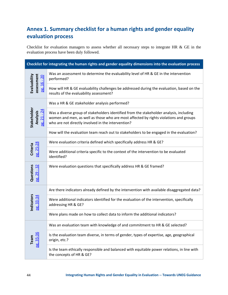### **Annex 1. Summary checklist for a human rights and gender equality evaluation process**

Checklist for evaluation managers to assess whether all necessary steps to integrate HR & GE in the evaluation process have been duly followed.

|                                          | Checklist for integrating the human rights and gender equality dimensions into the evaluation process                                                                                                                                  |
|------------------------------------------|----------------------------------------------------------------------------------------------------------------------------------------------------------------------------------------------------------------------------------------|
| assessment<br>Evaluability<br>$-20$      | Was an assessment to determine the evaluability level of HR & GE in the intervention<br>performed?                                                                                                                                     |
| pg. 16 -                                 | How will HR & GE evaluability challenges be addressed during the evaluation, based on the<br>results of the evaluability assessment?                                                                                                   |
|                                          | Was a HR & GE stakeholder analysis performed?                                                                                                                                                                                          |
| Stakeholder<br>$pg. 21 - 24$<br>Analysis | Was a diverse group of stakeholders identified from the stakeholder analysis, including<br>women and men, as well as those who are most affected by rights violations and groups<br>who are not directly involved in the intervention? |
|                                          | How will the evaluation team reach out to stakeholders to be engaged in the evaluation?                                                                                                                                                |
|                                          | Were evaluation criteria defined which specifically address HR & GE?                                                                                                                                                                   |
| pg. 25-28<br>Criteria                    | Were additional criteria specific to the context of the intervention to be evaluated<br>identified?                                                                                                                                    |
| Questions<br>$-32$<br>29<br><u>od</u>    | Were evaluation questions that specifically address HR & GE framed?                                                                                                                                                                    |
|                                          | Are there indicators already defined by the intervention with available disaggregated data?                                                                                                                                            |
| Indicators<br>pg. 33-34                  | Were additional indicators identified for the evaluation of the intervention, specifically<br>addressing HR & GE?                                                                                                                      |
|                                          | Were plans made on how to collect data to inform the additional indicators?                                                                                                                                                            |
|                                          | Was an evaluation team with knowledge of and commitment to HR & GE selected?                                                                                                                                                           |
| $.35 - 36$<br>Team                       | Is the evaluation team diverse, in terms of gender, types of expertise, age, geographical<br>origin, etc.?                                                                                                                             |
| <b>Dgi</b>                               | Is the team ethically responsible and balanced with equitable power relations, in line with<br>the concepts of HR & GE?                                                                                                                |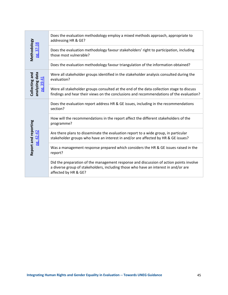|                                                                                                  | Does the evaluation methodology employ a mixed methods approach, appropriate to<br>addressing HR & GE?                                                                                                |  |  |  |
|--------------------------------------------------------------------------------------------------|-------------------------------------------------------------------------------------------------------------------------------------------------------------------------------------------------------|--|--|--|
| Methodology<br>pg. 37-38                                                                         | Does the evaluation methodology favour stakeholders' right to participation, including<br>those most vulnerable?                                                                                      |  |  |  |
|                                                                                                  | Does the evaluation methodology favour triangulation of the information obtained?                                                                                                                     |  |  |  |
| analyzing data<br>Collecting and<br>pg. 39-41                                                    | Were all stakeholder groups identified in the stakeholder analysis consulted during the<br>evaluation?                                                                                                |  |  |  |
|                                                                                                  | Were all stakeholder groups consulted at the end of the data collection stage to discuss<br>findings and hear their views on the conclusions and recommendations of the evaluation?                   |  |  |  |
|                                                                                                  | Does the evaluation report address HR & GE issues, including in the recommendations<br>section?                                                                                                       |  |  |  |
|                                                                                                  | How will the recommendations in the report affect the different stakeholders of the<br>programme?                                                                                                     |  |  |  |
| Report and reporting<br>pg. 42-42                                                                | Are there plans to disseminate the evaluation report to a wide group, in particular<br>stakeholder groups who have an interest in and/or are affected by HR & GE issues?                              |  |  |  |
|                                                                                                  | Was a management response prepared which considers the HR & GE issues raised in the<br>report?                                                                                                        |  |  |  |
|                                                                                                  | Did the preparation of the management response and discussion of action points involve<br>a diverse group of stakeholders, including those who have an interest in and/or are<br>affected by HR & GE? |  |  |  |
|                                                                                                  |                                                                                                                                                                                                       |  |  |  |
|                                                                                                  |                                                                                                                                                                                                       |  |  |  |
|                                                                                                  |                                                                                                                                                                                                       |  |  |  |
|                                                                                                  |                                                                                                                                                                                                       |  |  |  |
|                                                                                                  |                                                                                                                                                                                                       |  |  |  |
|                                                                                                  |                                                                                                                                                                                                       |  |  |  |
|                                                                                                  |                                                                                                                                                                                                       |  |  |  |
|                                                                                                  |                                                                                                                                                                                                       |  |  |  |
| <b>Integrating Human Rights and Gender Equality in Evaluation -- Towards UNEG Guidance</b><br>45 |                                                                                                                                                                                                       |  |  |  |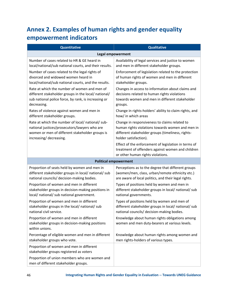### **Annex 2. Examples of human rights and gender equality empowerment indicators**

| <b>Quantitative</b>                                                                                           | <b>Qualitative</b>                                                                                                                             |
|---------------------------------------------------------------------------------------------------------------|------------------------------------------------------------------------------------------------------------------------------------------------|
|                                                                                                               | <b>Legal empowerment</b>                                                                                                                       |
| Number of cases related to HR & GE heard in                                                                   | Availability of legal services and justice to women                                                                                            |
| local/national/sub national courts, and their results.                                                        | and men in different stakeholder groups.                                                                                                       |
| Number of cases related to the legal rights of                                                                | Enforcement of legislation related to the protection                                                                                           |
| divorced and widowed women heard in                                                                           | of human rights of women and men in different                                                                                                  |
| local/national/sub national courts, and the results.                                                          | stakeholder groups.                                                                                                                            |
| Rate at which the number of women and men of                                                                  | Changes in access to information about claims and                                                                                              |
| different stakeholder groups in the local/ national/                                                          | decisions related to human rights violations                                                                                                   |
| sub national police force, by rank, is increasing or                                                          | towards women and men in different stakeholder                                                                                                 |
| decreasing.                                                                                                   | groups.                                                                                                                                        |
| Rates of violence against women and men in                                                                    | Change in rights-holders' ability to claim rights, and                                                                                         |
| different stakeholder groups.                                                                                 | how/ in which areas                                                                                                                            |
| Rate at which the number of local/ national/ sub-                                                             | Change in responsiveness to claims related to                                                                                                  |
| national justices/prosecutors/lawyers who are                                                                 | human rights violations towards women and men in                                                                                               |
| women or men of different stakeholder groups is                                                               | different stakeholder groups (timeliness, rights-                                                                                              |
| increasing/ decreasing.                                                                                       | holder satisfaction).                                                                                                                          |
|                                                                                                               | Effect of the enforcement of legislation in terms of<br>treatment of offenders against women and children<br>or other human rights violations. |
|                                                                                                               | <b>Political empowerment</b>                                                                                                                   |
| Proportion of seats held by women and men in                                                                  | Perceptions as to the degree that different groups                                                                                             |
| different stakeholder groups in local/ national/ sub                                                          | (women/men, class, urban/remote ethnicity etc.)                                                                                                |
| national councils/ decision-making bodies.                                                                    | are aware of local politics, and their legal rights.                                                                                           |
| Proportion of women and men in different                                                                      | Types of positions held by women and men in                                                                                                    |
| stakeholder groups in decision-making positions in                                                            | different stakeholder groups in local/ national/ sub                                                                                           |
| local/ national/ sub national government.                                                                     | national governments.                                                                                                                          |
| Proportion of women and men in different                                                                      | Types of positions held by women and men of                                                                                                    |
| stakeholder groups in the local/ national/ sub                                                                | different stakeholder groups in local/ national/ sub                                                                                           |
| national civil service.                                                                                       | national councils/ decision-making bodies.                                                                                                     |
| Proportion of women and men in different<br>stakeholder groups in decision-making positions<br>within unions. | Knowledge about human rights obligations among<br>women and men duty-bearers at various levels.                                                |
| Percentage of eligible women and men in different                                                             | Knowledge about human rights among women and                                                                                                   |
| stakeholder groups who vote.                                                                                  | men rights-holders of various types.                                                                                                           |
| Proportion of women and men in different<br>stakeholder groups registered as voters                           |                                                                                                                                                |
| Proportion of union members who are women and<br>men of different stakeholder groups.                         |                                                                                                                                                |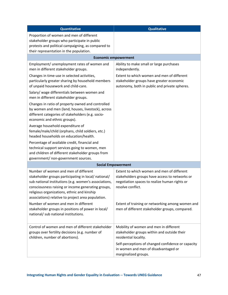| Quantitative                                                                                                                                                                                                                                                                                                     | <b>Qualitative</b>                                                                                                                                                 |
|------------------------------------------------------------------------------------------------------------------------------------------------------------------------------------------------------------------------------------------------------------------------------------------------------------------|--------------------------------------------------------------------------------------------------------------------------------------------------------------------|
| Proportion of women and men of different<br>stakeholder groups who participate in public<br>protests and political campaigning, as compared to<br>their representation in the population.                                                                                                                        |                                                                                                                                                                    |
|                                                                                                                                                                                                                                                                                                                  | <b>Economic empowerment</b>                                                                                                                                        |
| Employment/ unemployment rates of women and<br>men in different stakeholder groups.                                                                                                                                                                                                                              | Ability to make small or large purchases<br>independently.                                                                                                         |
| Changes in time-use in selected activities,<br>particularly greater sharing by household members<br>of unpaid housework and child-care.                                                                                                                                                                          | Extent to which women and men of different<br>stakeholder groups have greater economic<br>autonomy, both in public and private spheres.                            |
| Salary/ wage differentials between women and<br>men in different stakeholder groups.                                                                                                                                                                                                                             |                                                                                                                                                                    |
| Changes in ratio of property owned and controlled<br>by women and men (land, houses, livestock), across<br>different categories of stakeholders (e.g. socio-<br>economic and ethnic groups).                                                                                                                     |                                                                                                                                                                    |
| Average household expenditure of<br>female/male/child (orphans, child soldiers, etc.)<br>headed households on education/health.                                                                                                                                                                                  |                                                                                                                                                                    |
| Percentage of available credit, financial and<br>technical support services going to women, men<br>and children of different stakeholder groups from<br>government/ non-government sources.                                                                                                                      |                                                                                                                                                                    |
|                                                                                                                                                                                                                                                                                                                  | <b>Social Empowerment</b>                                                                                                                                          |
| Number of women and men of different<br>stakeholder groups participating in local/ national/<br>sub national institutions (e.g. women's associations,<br>consciousness raising or income generating groups,<br>religious organizations, ethnic and kinship<br>associations) relative to project area population. | Extent to which women and men of different<br>stakeholders groups have access to networks or<br>negotiation spaces to realize human rights or<br>resolve conflict. |
| Number of women and men in different<br>stakeholder groups in positions of power in local/<br>national/ sub national institutions.                                                                                                                                                                               | Extent of training or networking among women and<br>men of different stakeholder groups, compared.                                                                 |
| Control of women and men of different stakeholder<br>groups over fertility decisions (e.g. number of<br>children, number of abortions).                                                                                                                                                                          | Mobility of women and men in different<br>stakeholder groups within and outside their<br>residential locality.                                                     |
|                                                                                                                                                                                                                                                                                                                  | Self-perceptions of changed confidence or capacity<br>in women and men of disadvantaged or<br>marginalized groups.                                                 |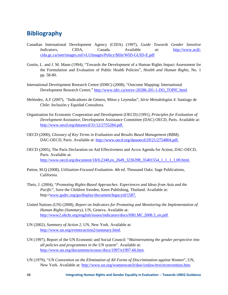### **Bibliography**

- Canadian International Development Agency (CIDA) (1997), *Guide Towards Gender Sensitive Indicators,* CIDA, Canada. Available at: http://www.acdicida.gc.ca/inet/images.nsf/vLUImages/Policy/\$file/WID-GUID-E.pdf
- Gostin, L. and J. M. Mann (1994), "Towards the Development of a Human Rights Impact Assessment for the Formulation and Evaluation of Public Health Policies", *Health and Human Rights*, No. 1 pp. 58-80.
- International Development Research Centre (IDRC) (2008), "Outcome Mapping: International Development Research Centre," http://www.idrc.ca/en/ev-26586-201-1-DO\_TOPIC.html.
- Meléndez, A.F (2007), "Indicadores de Género, Mitos y Leyendas", *Série Metodologías 4*. Santiago de Chile: Inclusión y Equidad Consultora.
- Organisation for Economic Cooperation and Development (OECD) (1991), *Principles for Evaluation of Development Assistance*, Development Assistance Committee (DAC) OECD, Paris. Available at: http://www.oecd.org/dataoecd/31/12/2755284.pdf.
- OECD (2000), *Glossary of Key Terms in Evaluation and Results Based Management (RBM)*, DAC-OECD, Paris. Available at: http://www.oecd.org/dataoecd/29/21/2754804.pdf.
- OECD (2005), The Paris Declaration on Aid Effectiveness and Accra Agenda for Action, DAC-OECD, Paris. Available at: http://www.oecd.org/document/18/0,2340,en\_2649\_3236398\_35401554\_1\_1\_1\_1,00.html.
- Patton, M.Q (2008), *Utilization-Focused Evaluation*. 4th ed. Thousand Oaks: Sage Publications, California.
- Theis, J. (2004), "*Promoting Rights-Based Approaches: Experiences and Ideas from Asia and the Pacific*", Save the Children Sweden, Keen Publishing, Thailand. Available at: http://www.gsdrc.org/go/display/document/legacyid/1587.
- United Nations (UN) (2008), *Report on Indicators for Promoting and Monitoring the Implementation of Human Rights (Summary)*, UN, Geneva. Available at: http://www2.ohchr.org/english/issues/indicators/docs/HRI.MC.2008.3\_en.pdf.
- UN (2002), *Summary of Action 2*, UN, New York. Available at: http://www.un.org/events/action2/summary.html.
- UN (1997), Report of the UN Economic and Social Council: "*Mainstreaming the gender perspective into all policies and programmes in the UN system*". Available at: http://www.un.org/documents/ecosoc/docs/1997/e1997-66.htm.
- UN (1979), "*UN Convention on the Elimination of All Forms of Discrimination against Women*", UN, New York. Available at: http://www.un.org/womenwatch/daw/cedaw/text/econvention.htm.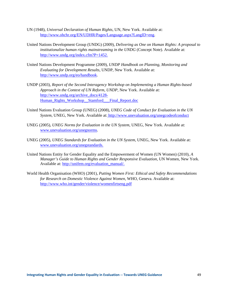- UN (1948), *Universal Declaration of Human Rights,* UN, New York. Available at: http://www.ohchr.org/EN/UDHR/Pages/Language.aspx?LangID=eng.
- United Nations Development Group (UNDG) (2009), *Delivering as One on Human Rights: A proposal to institutionalize human rights mainstreaming in the UNDG* (Concept Note). Available at: http://www.undg.org/index.cfm?P=1452.
- United Nations Development Programme (2009), *UNDP Handbook on Planning, Monitoring and Evaluating for Development Results*, UNDP, New York. Available at: http://www.undp.org/eo/handbook.
- UNDP (2003), *Report of the Second Interagency Workshop on Implementing a Human Rights-based Approach in the Context of UN Reform, UNDP*, New York. Available at: http://www.undg.org/archive\_docs/4128- Human\_Rights\_Workshop\_\_Stamford\_\_\_Final\_Report.doc
- United Nations Evaluation Group (UNEG) (2008), *UNEG Code of Conduct for Evaluation in the UN System*, UNEG, New York. Available at: http://www.unevaluation.org/unegcodeofconduct
- UNEG (2005), *UNEG Norms for Evaluation in the UN System*, UNEG, New York. Available at: www.unevaluation.org/unegnorms.
- UNEG (2005), *UNEG Standards for Evaluation in the UN System,* UNEG, New York. Available at: www.unevaluation.org/unegstandards.
- United Nations Entity for Gender Equality and the Empowerment of Women (UN Women) (2010), *A Manager's Guide to Human Rights and Gender Responsive Evaluation,* UN Women, New York. Available at: http://unifem.org/evaluation\_manual/.
- World Health Organisation (WHO) (2001), *Putting Women First: Ethical and Safety Recommendations for Research on Domestic Violence Against Women,* WHO, Geneva. Available at: http://www.who.int/gender/violence/womenfirtseng.pdf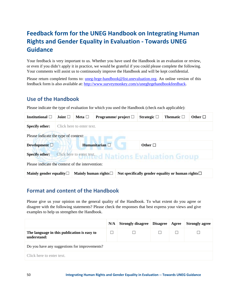### **Feedback form for the UNEG Handbook on Integrating Human Rights and Gender Equality in Evaluation ‐ Towards UNEG Guidance**

Your feedback is very important to us. Whether you have used the Handbook in an evaluation or review, or even if you didn't apply it in practice, we would be grateful if you could please complete the following. Your comments will assist us to continuously improve the Handbook and will be kept confidential.

Please return completed forms to: uneg-hrge-handbook@list.unevaluation.org. An online version of this feedback form is also available at: http://www.surveymonkey.com/s/uneghrgehandbookfeedback.

### **Use of the Handbook**

Please indicate the type of evaluation for which you used the Handbook (check each applicable):

| Institutional $\Box$                                                          | Joint $\Box$                                                                                                           | Meta $\square$ | Programme/ project $\Box$ |  | Strategic $\Box$ | Thematic $\square$ | Other $\Box$ |
|-------------------------------------------------------------------------------|------------------------------------------------------------------------------------------------------------------------|----------------|---------------------------|--|------------------|--------------------|--------------|
| <b>Specify other:</b>                                                         | Click here to enter text.                                                                                              |                |                           |  |                  |                    |              |
| Please indicate the type of context:                                          |                                                                                                                        |                |                           |  |                  |                    |              |
| Humanitarian $\Box$<br>Other $\Box$<br>Development $\square$                  |                                                                                                                        |                |                           |  |                  |                    |              |
| <b>Specify other:</b><br>Click here to enter text. d Nations Evaluation Group |                                                                                                                        |                |                           |  |                  |                    |              |
| Please indicate the context of the intervention:                              |                                                                                                                        |                |                           |  |                  |                    |              |
|                                                                               | Mainly human rights $\Box$<br>Not specifically gender equality or human rights $\Box$<br>Mainly gender equality $\Box$ |                |                           |  |                  |                    |              |

### **Format and content of the Handbook**

Please give us your opinion on the general quality of the Handbook. To what extent do you agree or disagree with the following statements? Please check the responses that best express your views and give examples to help us strengthen the Handbook.

|                                                            | N/A | <b>Strongly disagree   Disagree   Agree</b> |  |  | <b>Strongly agree</b> |  |
|------------------------------------------------------------|-----|---------------------------------------------|--|--|-----------------------|--|
| The language in this publication is easy to<br>understand: |     |                                             |  |  |                       |  |
| Do you have any suggestions for improvements?              |     |                                             |  |  |                       |  |
| Click here to enter text.                                  |     |                                             |  |  |                       |  |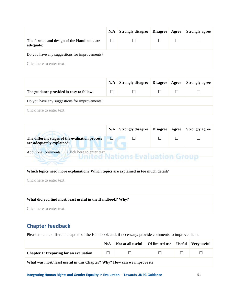|                                                        | N/A | <b>Strongly disagree</b> | <b>Disagree</b> | Agree | <b>Strongly agree</b> |  |  |
|--------------------------------------------------------|-----|--------------------------|-----------------|-------|-----------------------|--|--|
| The format and design of the Handbook are<br>adequate: |     |                          |                 |       |                       |  |  |
| Do you have any suggestions for improvements?          |     |                          |                 |       |                       |  |  |
| Click here to enter text.                              |     |                          |                 |       |                       |  |  |

|                                               | N/A | <b>Strongly disagree   Disagree   Agree</b> |  |  | <b>Strongly agree</b> |  |  |
|-----------------------------------------------|-----|---------------------------------------------|--|--|-----------------------|--|--|
| The guidance provided is easy to follow:      |     |                                             |  |  |                       |  |  |
| Do you have any suggestions for improvements? |     |                                             |  |  |                       |  |  |
| Click here to enter text.                     |     |                                             |  |  |                       |  |  |

|                                                                             | N/A | <b>Strongly disagree   Disagree   Agree</b> |  | <b>Strongly agree</b> |
|-----------------------------------------------------------------------------|-----|---------------------------------------------|--|-----------------------|
| The different stages of the evaluation process<br>are adequately explained: |     |                                             |  |                       |
| <b>Additional comments:</b><br>Click here to enter text.                    |     |                                             |  |                       |

#### **Which topics need more explanation? Which topics are explained in too much detail?**

Click here to enter text.

-75

#### **What did you find most/ least useful in the Handbook? Why?**

Click here to enter text.

### **Chapter feedback**

Please rate the different chapters of the Handbook and, if necessary, provide comments to improve them.

|                                                                         | N/A | Not at all useful   Of limited use   Useful   Very useful |  |  |  |  |  |  |
|-------------------------------------------------------------------------|-----|-----------------------------------------------------------|--|--|--|--|--|--|
| <b>Chapter 1: Preparing for an evaluation</b>                           |     | $\mathbf{1}$                                              |  |  |  |  |  |  |
| What was most/least useful in this Chapter? Why? How can we improve it? |     |                                                           |  |  |  |  |  |  |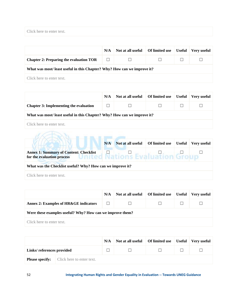| Click here to enter text. |  |  |
|---------------------------|--|--|
|                           |  |  |

|                                                                          | N/A    | Not at all useful | Of limited use | <b>Useful</b> | Very useful |  |  |  |  |
|--------------------------------------------------------------------------|--------|-------------------|----------------|---------------|-------------|--|--|--|--|
| <b>Chapter 2: Preparing the evaluation TOR</b>                           | $\Box$ | $\Box$            |                |               |             |  |  |  |  |
| What was most/ least useful in this Chapter? Why? How can we improve it? |        |                   |                |               |             |  |  |  |  |
| Click here to enter text.                                                |        |                   |                |               |             |  |  |  |  |

|                                                                         | N/A | Not at all useful | Of limited use | <b>Useful</b> | Very useful |  |  |  |  |  |
|-------------------------------------------------------------------------|-----|-------------------|----------------|---------------|-------------|--|--|--|--|--|
| <b>Chapter 3: Implementing the evaluation</b>                           |     |                   |                |               |             |  |  |  |  |  |
| What was most/least useful in this Chapter? Why? How can we improve it? |     |                   |                |               |             |  |  |  |  |  |
| Click here to enter text.                                               |     |                   |                |               |             |  |  |  |  |  |
|                                                                         |     |                   |                |               |             |  |  |  |  |  |

|                                                                                                      | N/A | Not at all useful | Of limited use | <b>Useful</b> | Verv useful |  |  |  |  |
|------------------------------------------------------------------------------------------------------|-----|-------------------|----------------|---------------|-------------|--|--|--|--|
| <b>Annex 1: Summary of Content: Checklist</b><br><b>Jnited Nations</b><br>for the evaluation process |     |                   | Evaluation Gr  |               |             |  |  |  |  |
| What was the Checklist useful? Why? How can we improve it?                                           |     |                   |                |               |             |  |  |  |  |
| Click here to enter text.                                                                            |     |                   |                |               |             |  |  |  |  |

|                                                           | N/A | Not at all useful | Of limited use | Useful | Very useful |  |  |  |  |
|-----------------------------------------------------------|-----|-------------------|----------------|--------|-------------|--|--|--|--|
| <b>Annex 2: Examples of HR&amp;GE indicators</b>          | ш   |                   |                |        |             |  |  |  |  |
| Were these examples useful? Why? How can we improve them? |     |                   |                |        |             |  |  |  |  |
| Click here to enter text.                                 |     |                   |                |        |             |  |  |  |  |

|                           |                                                  | N/A | Not at all useful   Of limited use   Useful   Very useful |  |  |
|---------------------------|--------------------------------------------------|-----|-----------------------------------------------------------|--|--|
| Links/references provided |                                                  |     |                                                           |  |  |
|                           | <b>Please specify:</b> Click here to enter text. |     |                                                           |  |  |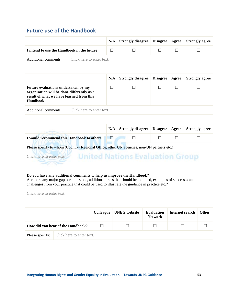### **Future use of the Handbook**

|                                            |                           | N/A | Strongly disagree   Disagree   Agree   Strongly agree |  |  |
|--------------------------------------------|---------------------------|-----|-------------------------------------------------------|--|--|
| I intend to use the Handbook in the future |                           |     |                                                       |  |  |
| Additional comments:                       | Click here to enter text. |     |                                                       |  |  |

|                                                                                                                                           |                           | N/A | <b>Strongly disagree</b> | <b>Disagree</b> | Agree | <b>Strongly agree</b> |
|-------------------------------------------------------------------------------------------------------------------------------------------|---------------------------|-----|--------------------------|-----------------|-------|-----------------------|
| Future evaluations undertaken by my<br>organisation will be done differently as a<br>result of what we have learned from this<br>Handbook |                           |     |                          |                 |       |                       |
| Additional comments:                                                                                                                      | Click here to enter text. |     |                          |                 |       |                       |

|                                                                                            | N/A | <b>Strongly disagree   Disagree   Agree</b> |  |  | <b>Strongly agree</b> |  |
|--------------------------------------------------------------------------------------------|-----|---------------------------------------------|--|--|-----------------------|--|
| I would recommend this Handbook to others                                                  | П   |                                             |  |  |                       |  |
| Please specify to whom (Country/ Regional Office, other UN agencies, non-UN partners etc.) |     |                                             |  |  |                       |  |
| <b>United Nations Evaluation Group</b><br>Click here to enter text.                        |     |                                             |  |  |                       |  |
|                                                                                            |     |                                             |  |  |                       |  |

#### **Do you have any additional comments to help us improve the Handbook?**

Are there any major gaps or omissions, additional areas that should be included, examples of successes and challenges from your practice that could be used to illustrate the guidance in practice etc.?

Click here to enter text.

|                                                  | <b>Colleague</b> | <b>UNEG</b> website | <b>Evaluation</b><br><b>Network</b> | Internet search | <b>Other</b> |
|--------------------------------------------------|------------------|---------------------|-------------------------------------|-----------------|--------------|
| How did you hear of the Handbook?                |                  |                     |                                     |                 |              |
| <b>Please specify:</b> Click here to enter text. |                  |                     |                                     |                 |              |